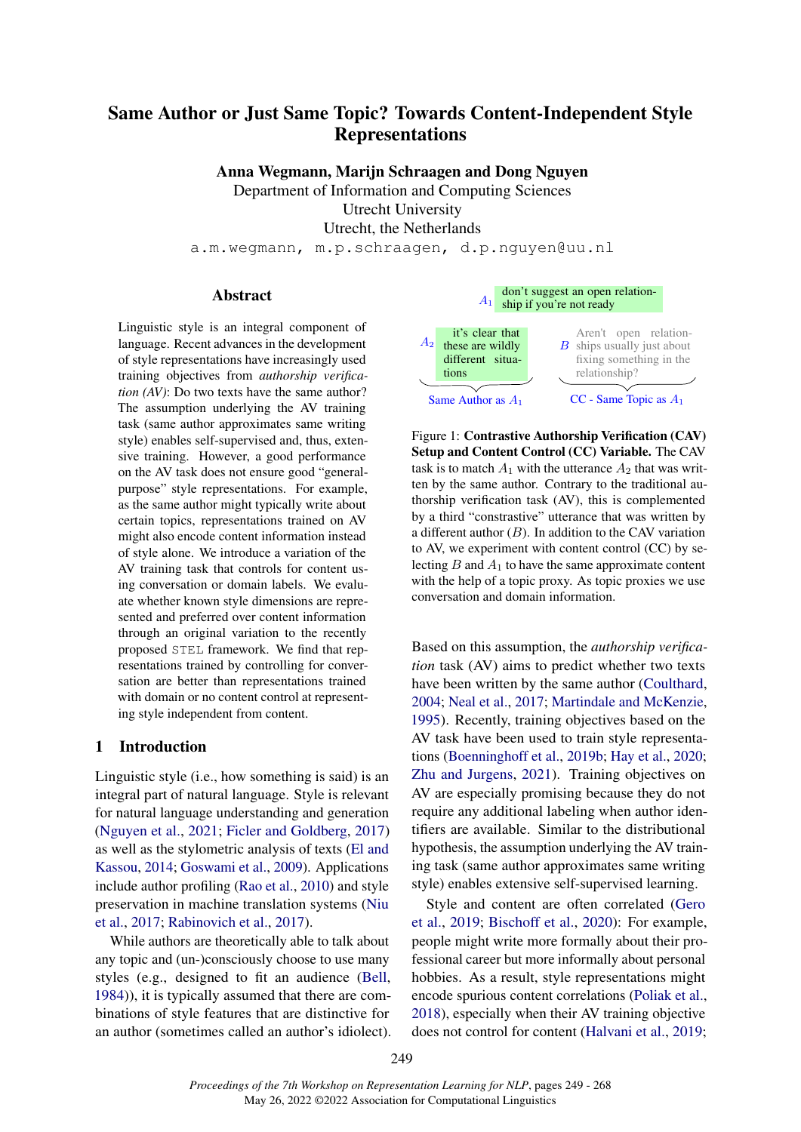# Same Author or Just Same Topic? Towards Content-Independent Style Representations

Anna Wegmann, Marijn Schraagen and Dong Nguyen

Department of Information and Computing Sciences

Utrecht University

Utrecht, the Netherlands

a.m.wegmann, m.p.schraagen, d.p.nguyen@uu.nl

### Abstract

Linguistic style is an integral component of language. Recent advances in the development of style representations have increasingly used training objectives from *authorship verification (AV)*: Do two texts have the same author? The assumption underlying the AV training task (same author approximates same writing style) enables self-supervised and, thus, extensive training. However, a good performance on the AV task does not ensure good "generalpurpose" style representations. For example, as the same author might typically write about certain topics, representations trained on AV might also encode content information instead of style alone. We introduce a variation of the AV training task that controls for content using conversation or domain labels. We evaluate whether known style dimensions are represented and preferred over content information through an original variation to the recently proposed STEL framework. We find that representations trained by controlling for conversation are better than representations trained with domain or no content control at representing style independent from content.

#### 1 Introduction

Linguistic style (i.e., how something is said) is an integral part of natural language. Style is relevant for natural language understanding and generation [\(Nguyen et al.,](#page-10-0) [2021;](#page-10-0) [Ficler and Goldberg,](#page-9-0) [2017\)](#page-9-0) as well as the stylometric analysis of texts [\(El and](#page-9-1) [Kassou,](#page-9-1) [2014;](#page-9-1) [Goswami et al.,](#page-10-1) [2009\)](#page-10-1). Applications include author profiling [\(Rao et al.,](#page-11-0) [2010\)](#page-11-0) and style preservation in machine translation systems [\(Niu](#page-10-2) [et al.,](#page-10-2) [2017;](#page-10-2) [Rabinovich et al.,](#page-11-1) [2017\)](#page-11-1).

While authors are theoretically able to talk about any topic and (un-)consciously choose to use many styles (e.g., designed to fit an audience [\(Bell,](#page-9-2) [1984\)](#page-9-2)), it is typically assumed that there are combinations of style features that are distinctive for an author (sometimes called an author's idiolect).

<span id="page-0-0"></span>

Figure 1: Contrastive Authorship Verification (CAV) Setup and Content Control (CC) Variable. The CAV task is to match  $A_1$  with the utterance  $A_2$  that was written by the same author. Contrary to the traditional authorship verification task (AV), this is complemented by a third "constrastive" utterance that was written by a different author  $(B)$ . In addition to the CAV variation to AV, we experiment with content control (CC) by selecting  $B$  and  $A_1$  to have the same approximate content with the help of a topic proxy. As topic proxies we use conversation and domain information.

Based on this assumption, the *authorship verification* task (AV) aims to predict whether two texts have been written by the same author [\(Coulthard,](#page-9-3) [2004;](#page-9-3) [Neal et al.,](#page-10-3) [2017;](#page-10-3) [Martindale and McKenzie,](#page-10-4) [1995\)](#page-10-4). Recently, training objectives based on the AV task have been used to train style representations [\(Boenninghoff et al.,](#page-9-4) [2019b;](#page-9-4) [Hay et al.,](#page-10-5) [2020;](#page-10-5) [Zhu and Jurgens,](#page-12-0) [2021\)](#page-12-0). Training objectives on AV are especially promising because they do not require any additional labeling when author identifiers are available. Similar to the distributional hypothesis, the assumption underlying the AV training task (same author approximates same writing style) enables extensive self-supervised learning.

Style and content are often correlated [\(Gero](#page-10-6) [et al.,](#page-10-6) [2019;](#page-10-6) [Bischoff et al.,](#page-9-5) [2020\)](#page-9-5): For example, people might write more formally about their professional career but more informally about personal hobbies. As a result, style representations might encode spurious content correlations [\(Poliak et al.,](#page-11-2) [2018\)](#page-11-2), especially when their AV training objective does not control for content [\(Halvani et al.,](#page-10-7) [2019;](#page-10-7)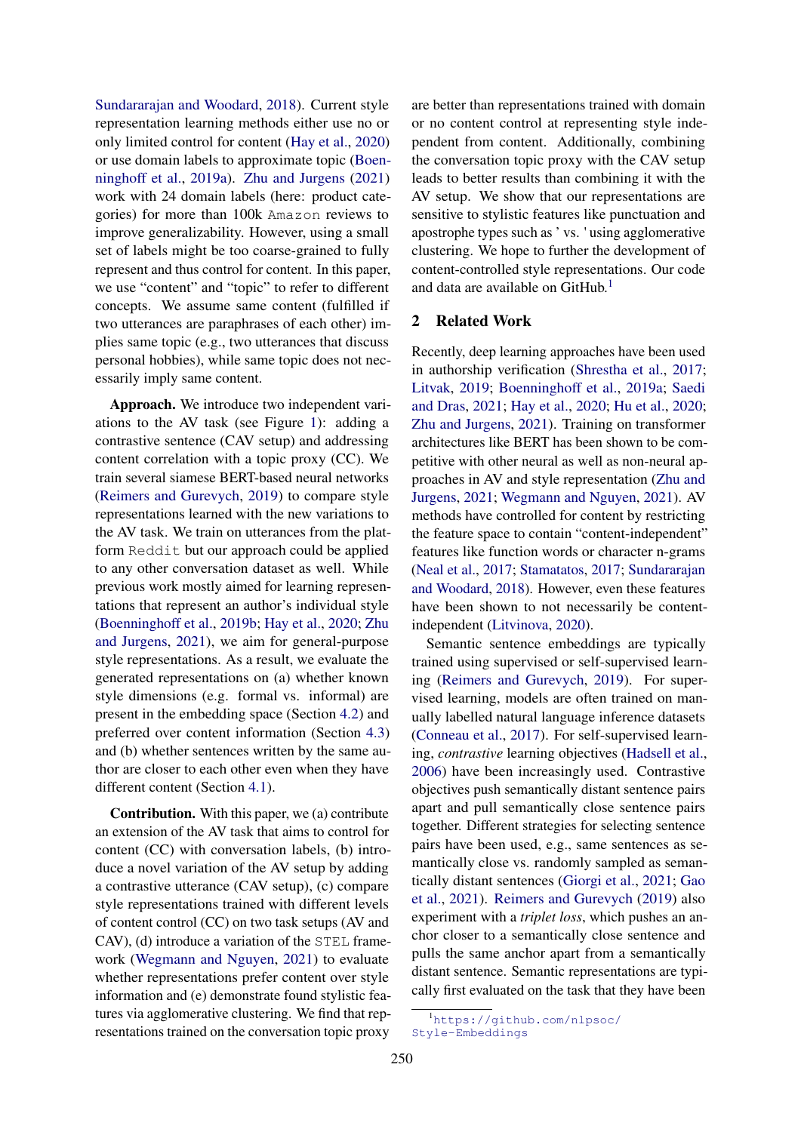[Sundararajan and Woodard,](#page-11-3) [2018\)](#page-11-3). Current style representation learning methods either use no or only limited control for content [\(Hay et al.,](#page-10-5) [2020\)](#page-10-5) or use domain labels to approximate topic [\(Boen](#page-9-6)[ninghoff et al.,](#page-9-6) [2019a\)](#page-9-6). [Zhu and Jurgens](#page-12-0) [\(2021\)](#page-12-0) work with 24 domain labels (here: product categories) for more than 100k Amazon reviews to improve generalizability. However, using a small set of labels might be too coarse-grained to fully represent and thus control for content. In this paper, we use "content" and "topic" to refer to different concepts. We assume same content (fulfilled if two utterances are paraphrases of each other) implies same topic (e.g., two utterances that discuss personal hobbies), while same topic does not necessarily imply same content.

Approach. We introduce two independent variations to the AV task (see Figure [1\)](#page-0-0): adding a contrastive sentence (CAV setup) and addressing content correlation with a topic proxy (CC). We train several siamese BERT-based neural networks [\(Reimers and Gurevych,](#page-11-4) [2019\)](#page-11-4) to compare style representations learned with the new variations to the AV task. We train on utterances from the platform Reddit but our approach could be applied to any other conversation dataset as well. While previous work mostly aimed for learning representations that represent an author's individual style [\(Boenninghoff et al.,](#page-9-4) [2019b;](#page-9-4) [Hay et al.,](#page-10-5) [2020;](#page-10-5) [Zhu](#page-12-0) [and Jurgens,](#page-12-0) [2021\)](#page-12-0), we aim for general-purpose style representations. As a result, we evaluate the generated representations on (a) whether known style dimensions (e.g. formal vs. informal) are present in the embedding space (Section [4.2\)](#page-5-0) and preferred over content information (Section [4.3\)](#page-6-0) and (b) whether sentences written by the same author are closer to each other even when they have different content (Section [4.1\)](#page-4-0).

Contribution. With this paper, we (a) contribute an extension of the AV task that aims to control for content (CC) with conversation labels, (b) introduce a novel variation of the AV setup by adding a contrastive utterance (CAV setup), (c) compare style representations trained with different levels of content control (CC) on two task setups (AV and CAV), (d) introduce a variation of the STEL framework [\(Wegmann and Nguyen,](#page-11-5) [2021\)](#page-11-5) to evaluate whether representations prefer content over style information and (e) demonstrate found stylistic features via agglomerative clustering. We find that representations trained on the conversation topic proxy

are better than representations trained with domain or no content control at representing style independent from content. Additionally, combining the conversation topic proxy with the CAV setup leads to better results than combining it with the AV setup. We show that our representations are sensitive to stylistic features like punctuation and apostrophe types such as ' vs. ' using agglomerative clustering. We hope to further the development of content-controlled style representations. Our code and data are available on GitHub.<sup>[1](#page-1-0)</sup>

# 2 Related Work

Recently, deep learning approaches have been used in authorship verification [\(Shrestha et al.,](#page-11-6) [2017;](#page-11-6) [Litvak,](#page-10-8) [2019;](#page-10-8) [Boenninghoff et al.,](#page-9-6) [2019a;](#page-9-6) [Saedi](#page-11-7) [and Dras,](#page-11-7) [2021;](#page-11-7) [Hay et al.,](#page-10-5) [2020;](#page-10-5) [Hu et al.,](#page-10-9) [2020;](#page-10-9) [Zhu and Jurgens,](#page-12-0) [2021\)](#page-12-0). Training on transformer architectures like BERT has been shown to be competitive with other neural as well as non-neural approaches in AV and style representation [\(Zhu and](#page-12-0) [Jurgens,](#page-12-0) [2021;](#page-12-0) [Wegmann and Nguyen,](#page-11-5) [2021\)](#page-11-5). AV methods have controlled for content by restricting the feature space to contain "content-independent" features like function words or character n-grams [\(Neal et al.,](#page-10-3) [2017;](#page-10-3) [Stamatatos,](#page-11-8) [2017;](#page-11-8) [Sundararajan](#page-11-3) [and Woodard,](#page-11-3) [2018\)](#page-11-3). However, even these features have been shown to not necessarily be contentindependent [\(Litvinova,](#page-10-10) [2020\)](#page-10-10).

Semantic sentence embeddings are typically trained using supervised or self-supervised learning [\(Reimers and Gurevych,](#page-11-4) [2019\)](#page-11-4). For supervised learning, models are often trained on manually labelled natural language inference datasets [\(Conneau et al.,](#page-9-7) [2017\)](#page-9-7). For self-supervised learning, *contrastive* learning objectives [\(Hadsell et al.,](#page-10-11) [2006\)](#page-10-11) have been increasingly used. Contrastive objectives push semantically distant sentence pairs apart and pull semantically close sentence pairs together. Different strategies for selecting sentence pairs have been used, e.g., same sentences as semantically close vs. randomly sampled as semantically distant sentences [\(Giorgi et al.,](#page-10-12) [2021;](#page-10-12) [Gao](#page-10-13) [et al.,](#page-10-13) [2021\)](#page-10-13). [Reimers and Gurevych](#page-11-4) [\(2019\)](#page-11-4) also experiment with a *triplet loss*, which pushes an anchor closer to a semantically close sentence and pulls the same anchor apart from a semantically distant sentence. Semantic representations are typically first evaluated on the task that they have been

<span id="page-1-0"></span><sup>1</sup>[https://github.com/nlpsoc/](https://github.com/nlpsoc/Style-Embeddings) [Style-Embeddings](https://github.com/nlpsoc/Style-Embeddings)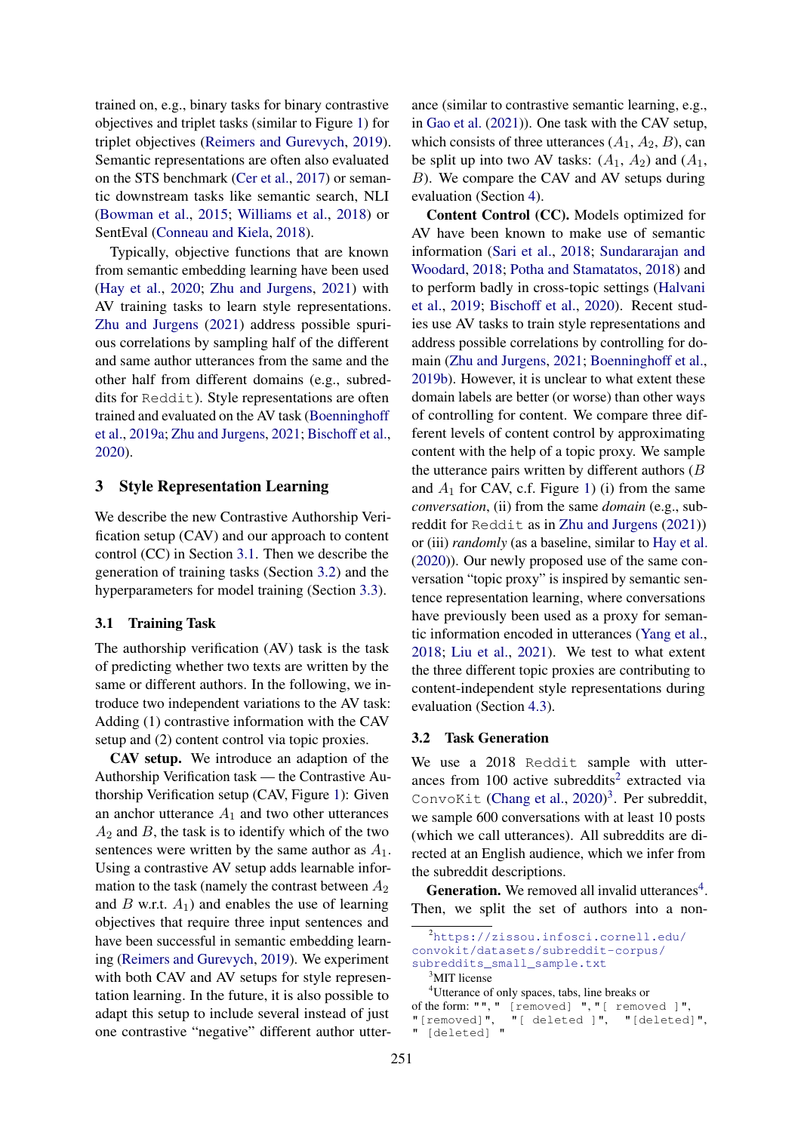trained on, e.g., binary tasks for binary contrastive objectives and triplet tasks (similar to Figure [1\)](#page-0-0) for triplet objectives [\(Reimers and Gurevych,](#page-11-4) [2019\)](#page-11-4). Semantic representations are often also evaluated on the STS benchmark [\(Cer et al.,](#page-9-8) [2017\)](#page-9-8) or semantic downstream tasks like semantic search, NLI [\(Bowman et al.,](#page-9-9) [2015;](#page-9-9) [Williams et al.,](#page-11-9) [2018\)](#page-11-9) or SentEval [\(Conneau and Kiela,](#page-9-10) [2018\)](#page-9-10).

Typically, objective functions that are known from semantic embedding learning have been used [\(Hay et al.,](#page-10-5) [2020;](#page-10-5) [Zhu and Jurgens,](#page-12-0) [2021\)](#page-12-0) with AV training tasks to learn style representations. [Zhu and Jurgens](#page-12-0) [\(2021\)](#page-12-0) address possible spurious correlations by sampling half of the different and same author utterances from the same and the other half from different domains (e.g., subreddits for Reddit). Style representations are often trained and evaluated on the AV task [\(Boenninghoff](#page-9-6) [et al.,](#page-9-6) [2019a;](#page-9-6) [Zhu and Jurgens,](#page-12-0) [2021;](#page-12-0) [Bischoff et al.,](#page-9-5) [2020\)](#page-9-5).

### 3 Style Representation Learning

We describe the new Contrastive Authorship Verification setup (CAV) and our approach to content control (CC) in Section [3.1.](#page-2-0) Then we describe the generation of training tasks (Section [3.2\)](#page-2-1) and the hyperparameters for model training (Section [3.3\)](#page-3-0).

#### <span id="page-2-0"></span>3.1 Training Task

The authorship verification (AV) task is the task of predicting whether two texts are written by the same or different authors. In the following, we introduce two independent variations to the AV task: Adding (1) contrastive information with the CAV setup and (2) content control via topic proxies.

CAV setup. We introduce an adaption of the Authorship Verification task — the Contrastive Authorship Verification setup (CAV, Figure [1\)](#page-0-0): Given an anchor utterance  $A_1$  and two other utterances  $A_2$  and  $B$ , the task is to identify which of the two sentences were written by the same author as  $A_1$ . Using a contrastive AV setup adds learnable information to the task (namely the contrast between  $A_2$ ) and B w.r.t.  $A_1$ ) and enables the use of learning objectives that require three input sentences and have been successful in semantic embedding learning [\(Reimers and Gurevych,](#page-11-4) [2019\)](#page-11-4). We experiment with both CAV and AV setups for style representation learning. In the future, it is also possible to adapt this setup to include several instead of just one contrastive "negative" different author utterance (similar to contrastive semantic learning, e.g., in [Gao et al.](#page-10-13) [\(2021\)](#page-10-13)). One task with the CAV setup, which consists of three utterances  $(A_1, A_2, B)$ , can be split up into two AV tasks:  $(A_1, A_2)$  and  $(A_1, A_2)$ B). We compare the CAV and AV setups during evaluation (Section [4\)](#page-4-1).

Content Control (CC). Models optimized for AV have been known to make use of semantic information [\(Sari et al.,](#page-11-10) [2018;](#page-11-10) [Sundararajan and](#page-11-3) [Woodard,](#page-11-3) [2018;](#page-11-3) [Potha and Stamatatos,](#page-11-11) [2018\)](#page-11-11) and to perform badly in cross-topic settings [\(Halvani](#page-10-7) [et al.,](#page-10-7) [2019;](#page-10-7) [Bischoff et al.,](#page-9-5) [2020\)](#page-9-5). Recent studies use AV tasks to train style representations and address possible correlations by controlling for domain [\(Zhu and Jurgens,](#page-12-0) [2021;](#page-12-0) [Boenninghoff et al.,](#page-9-4) [2019b\)](#page-9-4). However, it is unclear to what extent these domain labels are better (or worse) than other ways of controlling for content. We compare three different levels of content control by approximating content with the help of a topic proxy. We sample the utterance pairs written by different authors  $(B)$ and  $A_1$  for CAV, c.f. Figure [1\)](#page-0-0) (i) from the same *conversation*, (ii) from the same *domain* (e.g., subreddit for Reddit as in [Zhu and Jurgens](#page-12-0) [\(2021\)](#page-12-0)) or (iii) *randomly* (as a baseline, similar to [Hay et al.](#page-10-5) [\(2020\)](#page-10-5)). Our newly proposed use of the same conversation "topic proxy" is inspired by semantic sentence representation learning, where conversations have previously been used as a proxy for semantic information encoded in utterances [\(Yang et al.,](#page-12-1) [2018;](#page-12-1) [Liu et al.,](#page-10-14) [2021\)](#page-10-14). We test to what extent the three different topic proxies are contributing to content-independent style representations during evaluation (Section [4.3\)](#page-6-0).

#### <span id="page-2-1"></span>3.2 Task Generation

We use a 2018 Reddit sample with utterances from  $100$  active subreddits<sup>[2](#page-2-2)</sup> extracted via ConvoKit [\(Chang et al.,](#page-9-11) [2020\)](#page-9-11)<sup>[3](#page-2-3)</sup>. Per subreddit, we sample 600 conversations with at least 10 posts (which we call utterances). All subreddits are directed at an English audience, which we infer from the subreddit descriptions.

**Generation.** We removed all invalid utterances<sup>[4](#page-2-4)</sup>. Then, we split the set of authors into a non-

<span id="page-2-4"></span><span id="page-2-3"></span><sup>4</sup>Utterance of only spaces, tabs, line breaks or of the form: "", " [removed] ", "[ removed ]", "[removed]", "[ deleted ]", "[deleted]", " [deleted] "

<span id="page-2-2"></span><sup>2</sup>[https://zissou.infosci.cornell.edu/](https://zissou.infosci.cornell.edu/convokit/datasets/subreddit-corpus/subreddits_small_sample.txt) [convokit/datasets/subreddit-corpus/](https://zissou.infosci.cornell.edu/convokit/datasets/subreddit-corpus/subreddits_small_sample.txt) [subreddits\\_small\\_sample.txt](https://zissou.infosci.cornell.edu/convokit/datasets/subreddit-corpus/subreddits_small_sample.txt) <sup>3</sup>MIT license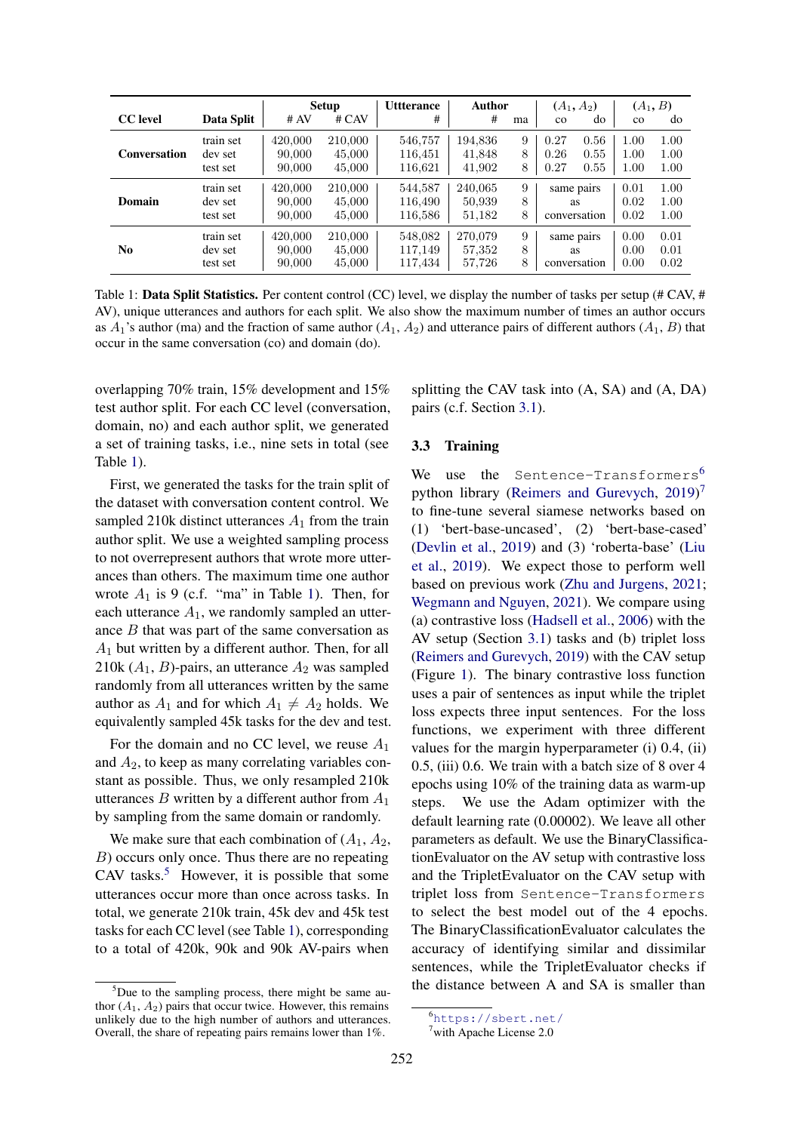<span id="page-3-1"></span>

|                     |                                  | <b>Setup</b>                |                             | <b>Utterance</b>              | <b>Author</b>               |             | $(A_1, A_2)$                     |                      | $(A_1, B)$           |                      |
|---------------------|----------------------------------|-----------------------------|-----------------------------|-------------------------------|-----------------------------|-------------|----------------------------------|----------------------|----------------------|----------------------|
| <b>CC</b> level     | Data Split                       | # AV                        | # CAV                       | #                             | #                           | ma          | $_{\rm co}$                      | do                   | $\rm{co}$            | do                   |
| <b>Conversation</b> | train set<br>dev set<br>test set | 420,000<br>90,000<br>90,000 | 210,000<br>45,000<br>45,000 | 546,757<br>116,451<br>116,621 | 194,836<br>41,848<br>41,902 | 9<br>8<br>8 | 0.27<br>0.26<br>0.27             | 0.56<br>0.55<br>0.55 | 1.00<br>1.00<br>1.00 | 1.00<br>1.00<br>1.00 |
| Domain              | train set<br>dev set<br>test set | 420,000<br>90,000<br>90,000 | 210,000<br>45,000<br>45,000 | 544.587<br>116,490<br>116,586 | 240,065<br>50,939<br>51,182 | 9<br>8<br>8 | same pairs<br>as<br>conversation |                      | 0.01<br>0.02<br>0.02 | 1.00<br>1.00<br>1.00 |
| N <sub>0</sub>      | train set<br>dev set<br>test set | 420,000<br>90,000<br>90,000 | 210,000<br>45,000<br>45,000 | 548,082<br>117,149<br>117,434 | 270.079<br>57,352<br>57,726 | 9<br>8<br>8 | same pairs<br>as<br>conversation |                      | 0.00<br>0.00<br>0.00 | 0.01<br>0.01<br>0.02 |

Table 1: Data Split Statistics. Per content control (CC) level, we display the number of tasks per setup (# CAV, # AV), unique utterances and authors for each split. We also show the maximum number of times an author occurs as  $A_1$ 's author (ma) and the fraction of same author ( $A_1$ ,  $A_2$ ) and utterance pairs of different authors ( $A_1$ ,  $B$ ) that occur in the same conversation (co) and domain (do).

overlapping 70% train, 15% development and 15% test author split. For each CC level (conversation, domain, no) and each author split, we generated a set of training tasks, i.e., nine sets in total (see Table [1\)](#page-3-1).

First, we generated the tasks for the train split of the dataset with conversation content control. We sampled 210k distinct utterances  $A_1$  from the train author split. We use a weighted sampling process to not overrepresent authors that wrote more utterances than others. The maximum time one author wrote  $A_1$  is 9 (c.f. "ma" in Table [1\)](#page-3-1). Then, for each utterance  $A_1$ , we randomly sampled an utterance  $B$  that was part of the same conversation as  $A_1$  but written by a different author. Then, for all 210k  $(A_1, B)$ -pairs, an utterance  $A_2$  was sampled randomly from all utterances written by the same author as  $A_1$  and for which  $A_1 \neq A_2$  holds. We equivalently sampled 45k tasks for the dev and test.

For the domain and no CC level, we reuse  $A_1$ and  $A_2$ , to keep as many correlating variables constant as possible. Thus, we only resampled 210k utterances B written by a different author from  $A_1$ by sampling from the same domain or randomly.

We make sure that each combination of  $(A_1, A_2)$ , B) occurs only once. Thus there are no repeating  $CAV$  tasks.<sup>[5](#page-3-2)</sup> However, it is possible that some utterances occur more than once across tasks. In total, we generate 210k train, 45k dev and 45k test tasks for each CC level (see Table [1\)](#page-3-1), corresponding to a total of 420k, 90k and 90k AV-pairs when

splitting the CAV task into (A, SA) and (A, DA) pairs (c.f. Section [3.1\)](#page-2-0).

#### <span id="page-3-0"></span>3.3 Training

We use the Sentence-Transformers<sup>[6](#page-3-3)</sup> python library [\(Reimers and Gurevych,](#page-11-4) [2019\)](#page-11-4)<sup>[7](#page-3-4)</sup> to fine-tune several siamese networks based on (1) 'bert-base-uncased', (2) 'bert-base-cased' [\(Devlin et al.,](#page-9-12) [2019\)](#page-9-12) and (3) 'roberta-base' [\(Liu](#page-10-15) [et al.,](#page-10-15) [2019\)](#page-10-15). We expect those to perform well based on previous work [\(Zhu and Jurgens,](#page-12-0) [2021;](#page-12-0) [Wegmann and Nguyen,](#page-11-5) [2021\)](#page-11-5). We compare using (a) contrastive loss [\(Hadsell et al.,](#page-10-11) [2006\)](#page-10-11) with the AV setup (Section [3.1\)](#page-2-0) tasks and (b) triplet loss [\(Reimers and Gurevych,](#page-11-4) [2019\)](#page-11-4) with the CAV setup (Figure [1\)](#page-0-0). The binary contrastive loss function uses a pair of sentences as input while the triplet loss expects three input sentences. For the loss functions, we experiment with three different values for the margin hyperparameter (i) 0.4, (ii) 0.5, (iii) 0.6. We train with a batch size of 8 over 4 epochs using 10% of the training data as warm-up steps. We use the Adam optimizer with the default learning rate (0.00002). We leave all other parameters as default. We use the BinaryClassificationEvaluator on the AV setup with contrastive loss and the TripletEvaluator on the CAV setup with triplet loss from Sentence-Transformers to select the best model out of the 4 epochs. The BinaryClassificationEvaluator calculates the accuracy of identifying similar and dissimilar sentences, while the TripletEvaluator checks if the distance between A and SA is smaller than

<span id="page-3-2"></span> $5$ Due to the sampling process, there might be same author  $(A_1, A_2)$  pairs that occur twice. However, this remains unlikely due to the high number of authors and utterances. Overall, the share of repeating pairs remains lower than 1%.

<span id="page-3-3"></span><sup>6</sup><https://sbert.net/>

<span id="page-3-4"></span> $7$ with Apache License 2.0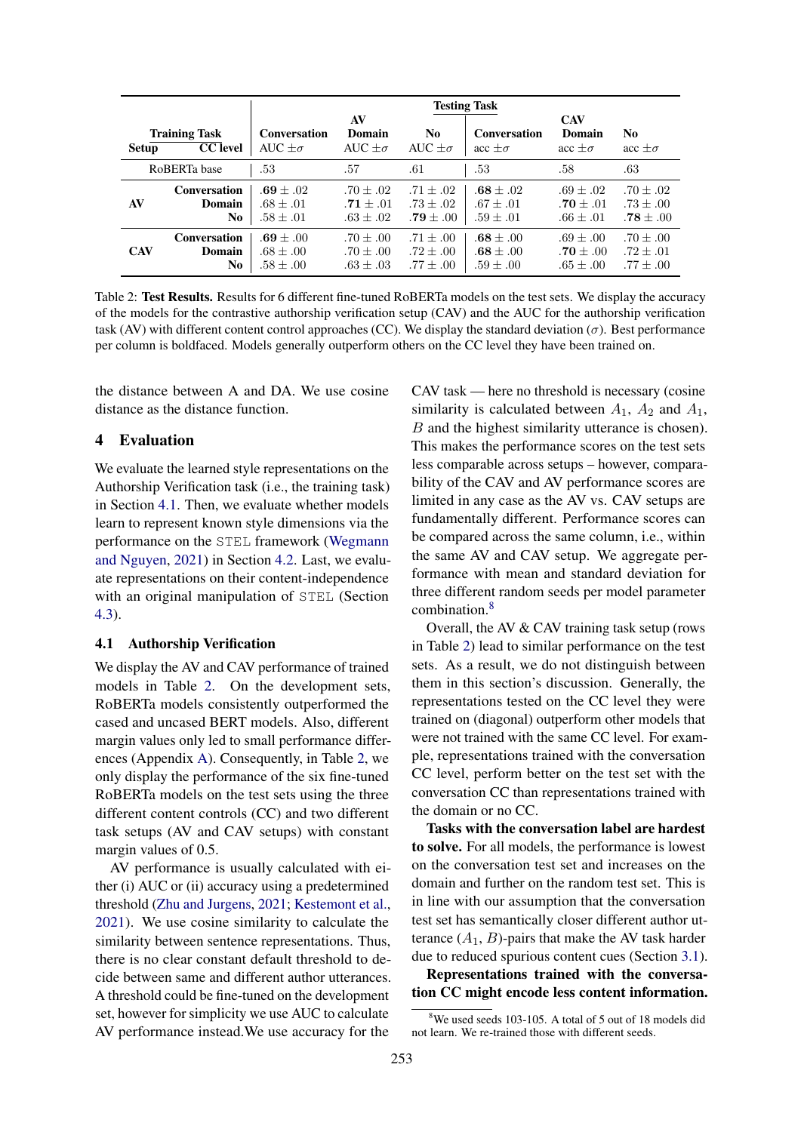<span id="page-4-2"></span>

|              |                                         |                                               | <b>Testing Task</b>                             |                                                 |                                             |                                               |                                               |  |  |  |
|--------------|-----------------------------------------|-----------------------------------------------|-------------------------------------------------|-------------------------------------------------|---------------------------------------------|-----------------------------------------------|-----------------------------------------------|--|--|--|
| <b>Setup</b> | <b>Training Task</b><br><b>CC</b> level | <b>Conversation</b><br>AUC $+\sigma$          | AV<br>Domain<br>AUC $+\sigma$                   | No.<br>AUC $+\sigma$                            | <b>Conversation</b><br>$\sec \pm \sigma$    | <b>CAV</b><br>Domain<br>$\sec + \sigma$       | No<br>$\sec + \sigma$                         |  |  |  |
|              | RoBERTa base                            | .53                                           | .57                                             | .61                                             | .53                                         | .58                                           | .63                                           |  |  |  |
| AV           | <b>Conversation</b><br>Domain<br>No     | $.69 + .02$<br>$.68 + .01$<br>$.58 \pm .01$   | $.70 + .02$<br>$.71 + .01$<br>$.63 + .02$       | $.71 + .02$<br>$.73 + .02$<br>$.79 + .00$       | $.68 + .02$<br>$.67 + .01$<br>$.59 + .01$   | $.69 \pm .02$<br>.70 $\pm$ .01<br>$.66\pm.01$ | $.70 + .02$<br>$.73 + .00$<br>$.78 \pm .00$   |  |  |  |
| <b>CAV</b>   | <b>Conversation</b><br>Domain<br>No     | $.69 + .00$<br>$.68 \pm .00$<br>$.58 \pm .00$ | $.70 \pm .00$<br>$.70 \pm .00$<br>$.63 \pm .03$ | $.71 \pm .00$<br>$.72 \pm .00$<br>$.77 \pm .00$ | $.68 + .00$<br>$.68 + .00$<br>$.59 \pm .00$ | $.69 \pm .00$<br>$.70 + .00$<br>$.65 \pm .00$ | $.70 + .00$<br>$.72 \pm .01$<br>$.77 \pm .00$ |  |  |  |

Table 2: Test Results. Results for 6 different fine-tuned RoBERTa models on the test sets. We display the accuracy of the models for the contrastive authorship verification setup (CAV) and the AUC for the authorship verification task (AV) with different content control approaches (CC). We display the standard deviation ( $\sigma$ ). Best performance per column is boldfaced. Models generally outperform others on the CC level they have been trained on.

the distance between A and DA. We use cosine distance as the distance function.

#### <span id="page-4-1"></span>4 Evaluation

We evaluate the learned style representations on the Authorship Verification task (i.e., the training task) in Section [4.1.](#page-4-0) Then, we evaluate whether models learn to represent known style dimensions via the performance on the STEL framework [\(Wegmann](#page-11-5) [and Nguyen,](#page-11-5) [2021\)](#page-11-5) in Section [4.2.](#page-5-0) Last, we evaluate representations on their content-independence with an original manipulation of STEL (Section [4.3\)](#page-6-0).

#### <span id="page-4-0"></span>4.1 Authorship Verification

We display the AV and CAV performance of trained models in Table [2.](#page-4-2) On the development sets, RoBERTa models consistently outperformed the cased and uncased BERT models. Also, different margin values only led to small performance differences (Appendix [A\)](#page-13-0). Consequently, in Table [2,](#page-4-2) we only display the performance of the six fine-tuned RoBERTa models on the test sets using the three different content controls (CC) and two different task setups (AV and CAV setups) with constant margin values of 0.5.

AV performance is usually calculated with either (i) AUC or (ii) accuracy using a predetermined threshold [\(Zhu and Jurgens,](#page-12-0) [2021;](#page-12-0) [Kestemont et al.,](#page-10-16) [2021\)](#page-10-16). We use cosine similarity to calculate the similarity between sentence representations. Thus, there is no clear constant default threshold to decide between same and different author utterances. A threshold could be fine-tuned on the development set, however for simplicity we use AUC to calculate AV performance instead.We use accuracy for the

CAV task — here no threshold is necessary (cosine similarity is calculated between  $A_1$ ,  $A_2$  and  $A_1$ , B and the highest similarity utterance is chosen). This makes the performance scores on the test sets less comparable across setups – however, comparability of the CAV and AV performance scores are limited in any case as the AV vs. CAV setups are fundamentally different. Performance scores can be compared across the same column, i.e., within the same AV and CAV setup. We aggregate performance with mean and standard deviation for three different random seeds per model parameter combination.<sup>[8](#page-4-3)</sup>

Overall, the AV & CAV training task setup (rows in Table [2\)](#page-4-2) lead to similar performance on the test sets. As a result, we do not distinguish between them in this section's discussion. Generally, the representations tested on the CC level they were trained on (diagonal) outperform other models that were not trained with the same CC level. For example, representations trained with the conversation CC level, perform better on the test set with the conversation CC than representations trained with the domain or no CC.

Tasks with the conversation label are hardest to solve. For all models, the performance is lowest on the conversation test set and increases on the domain and further on the random test set. This is in line with our assumption that the conversation test set has semantically closer different author utterance  $(A_1, B)$ -pairs that make the AV task harder due to reduced spurious content cues (Section [3.1\)](#page-2-0).

Representations trained with the conversation CC might encode less content information.

<span id="page-4-3"></span> $8$ We used seeds 103-105. A total of 5 out of 18 models did not learn. We re-trained those with different seeds.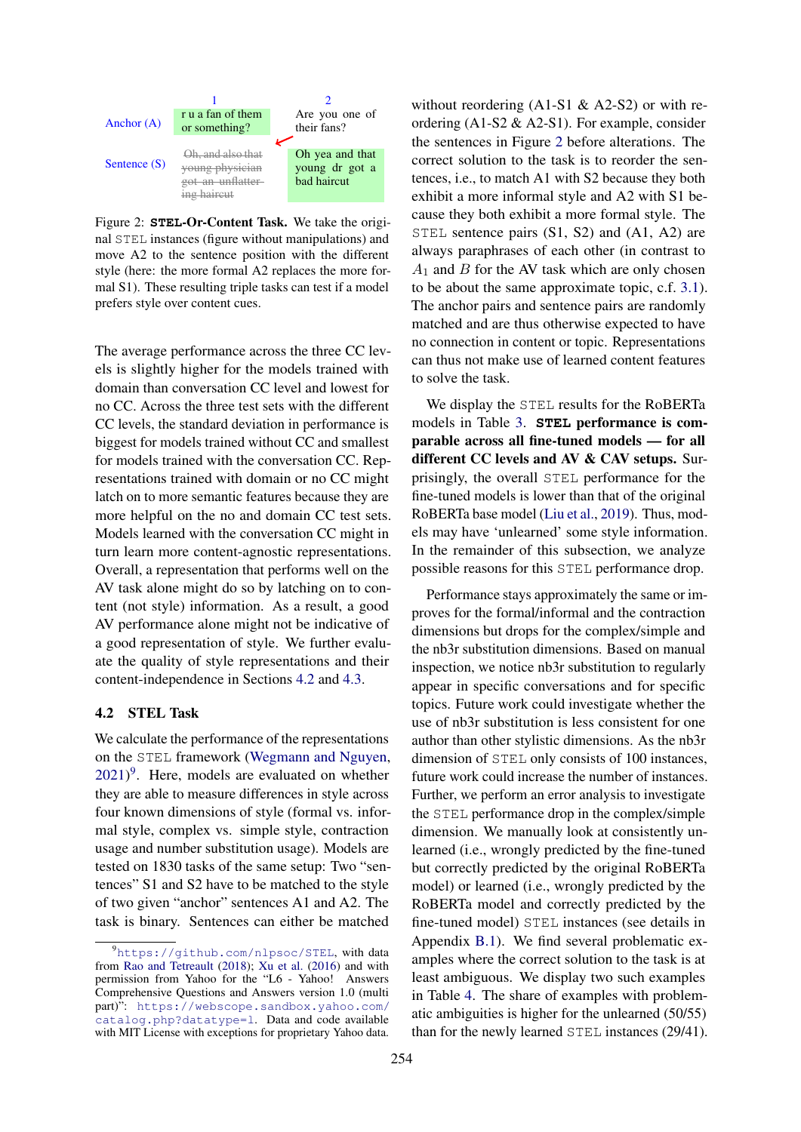<span id="page-5-2"></span>

Figure 2: **STEL**-Or-Content Task. We take the original STEL instances (figure without manipulations) and move A2 to the sentence position with the different style (here: the more formal A2 replaces the more formal S1). These resulting triple tasks can test if a model prefers style over content cues.

The average performance across the three CC levels is slightly higher for the models trained with domain than conversation CC level and lowest for no CC. Across the three test sets with the different CC levels, the standard deviation in performance is biggest for models trained without CC and smallest for models trained with the conversation CC. Representations trained with domain or no CC might latch on to more semantic features because they are more helpful on the no and domain CC test sets. Models learned with the conversation CC might in turn learn more content-agnostic representations. Overall, a representation that performs well on the AV task alone might do so by latching on to content (not style) information. As a result, a good AV performance alone might not be indicative of a good representation of style. We further evaluate the quality of style representations and their content-independence in Sections [4.2](#page-5-0) and [4.3.](#page-6-0)

### <span id="page-5-0"></span>4.2 STEL Task

We calculate the performance of the representations on the STEL framework [\(Wegmann and Nguyen,](#page-11-5)  $2021$ <sup>[9](#page-5-1)</sup>. Here, models are evaluated on whether they are able to measure differences in style across four known dimensions of style (formal vs. informal style, complex vs. simple style, contraction usage and number substitution usage). Models are tested on 1830 tasks of the same setup: Two "sentences" S1 and S2 have to be matched to the style of two given "anchor" sentences A1 and A2. The task is binary. Sentences can either be matched

without reordering  $(A1-S1 \& A2-S2)$  or with reordering (A1-S2 & A2-S1). For example, consider the sentences in Figure [2](#page-5-2) before alterations. The correct solution to the task is to reorder the sentences, i.e., to match A1 with S2 because they both exhibit a more informal style and A2 with S1 because they both exhibit a more formal style. The STEL sentence pairs (S1, S2) and (A1, A2) are always paraphrases of each other (in contrast to  $A_1$  and  $B$  for the AV task which are only chosen to be about the same approximate topic, c.f. [3.1\)](#page-2-0). The anchor pairs and sentence pairs are randomly matched and are thus otherwise expected to have no connection in content or topic. Representations can thus not make use of learned content features to solve the task.

We display the STEL results for the RoBERTa models in Table [3.](#page-6-1) **STEL** performance is comparable across all fine-tuned models — for all different CC levels and AV & CAV setups. Surprisingly, the overall STEL performance for the fine-tuned models is lower than that of the original RoBERTa base model [\(Liu et al.,](#page-10-15) [2019\)](#page-10-15). Thus, models may have 'unlearned' some style information. In the remainder of this subsection, we analyze possible reasons for this STEL performance drop.

Performance stays approximately the same or improves for the formal/informal and the contraction dimensions but drops for the complex/simple and the nb3r substitution dimensions. Based on manual inspection, we notice nb3r substitution to regularly appear in specific conversations and for specific topics. Future work could investigate whether the use of nb3r substitution is less consistent for one author than other stylistic dimensions. As the nb3r dimension of STEL only consists of 100 instances, future work could increase the number of instances. Further, we perform an error analysis to investigate the STEL performance drop in the complex/simple dimension. We manually look at consistently unlearned (i.e., wrongly predicted by the fine-tuned but correctly predicted by the original RoBERTa model) or learned (i.e., wrongly predicted by the RoBERTa model and correctly predicted by the fine-tuned model) STEL instances (see details in Appendix [B.1\)](#page-16-0). We find several problematic examples where the correct solution to the task is at least ambiguous. We display two such examples in Table [4.](#page-7-0) The share of examples with problematic ambiguities is higher for the unlearned (50/55) than for the newly learned STEL instances (29/41).

<span id="page-5-1"></span><sup>9</sup><https://github.com/nlpsoc/STEL>, with data from [Rao and Tetreault](#page-11-12) [\(2018\)](#page-11-12); [Xu et al.](#page-11-13) [\(2016\)](#page-11-13) and with permission from Yahoo for the "L6 - Yahoo! Answers Comprehensive Questions and Answers version 1.0 (multi part)": [https://webscope.sandbox.yahoo.com/](https://webscope.sandbox.yahoo.com/catalog.php?datatype=l) [catalog.php?datatype=l](https://webscope.sandbox.yahoo.com/catalog.php?datatype=l). Data and code available with MIT License with exceptions for proprietary Yahoo data.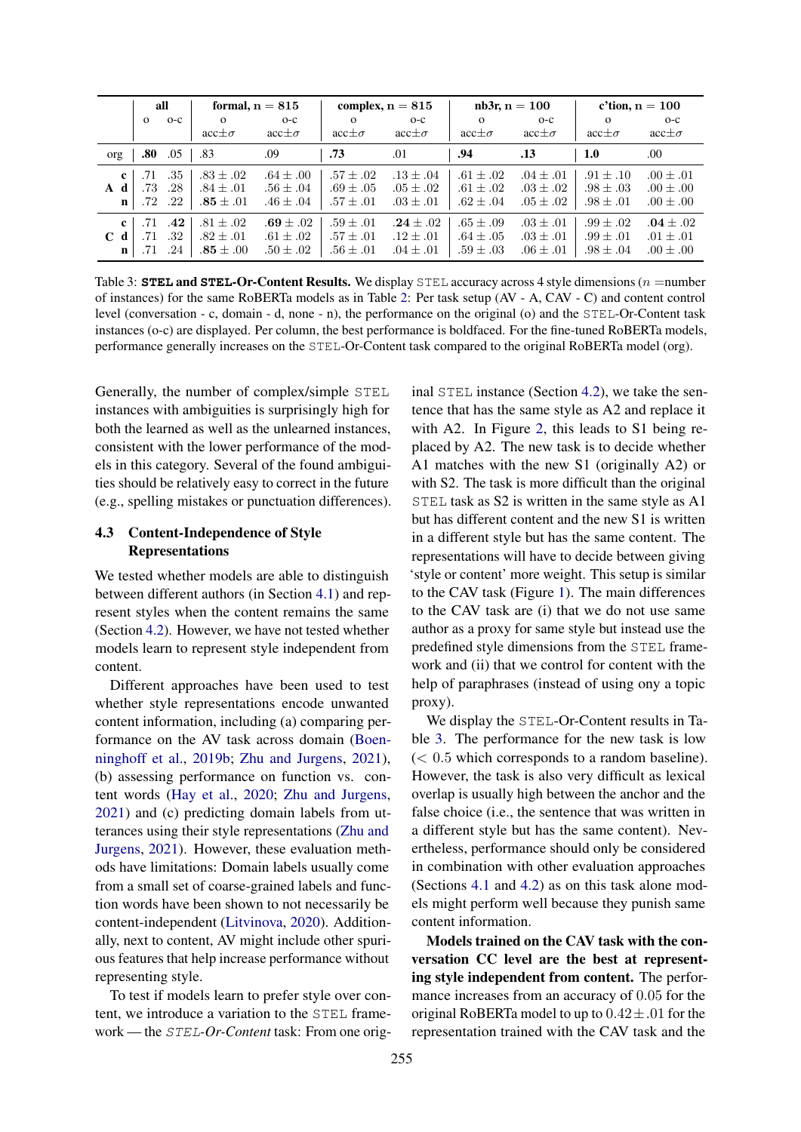<span id="page-6-1"></span>

|                                         | all               |                       | formal, $n = 815$                             |                                                 |                                                 | complex, $n = 815$                            | $nb3r, n = 100$                               |                                                 |                                               | c'tion, $n = 100$                               |
|-----------------------------------------|-------------------|-----------------------|-----------------------------------------------|-------------------------------------------------|-------------------------------------------------|-----------------------------------------------|-----------------------------------------------|-------------------------------------------------|-----------------------------------------------|-------------------------------------------------|
|                                         | $\mathbf{o}$      | $O-C$                 | $\Omega$                                      | $O-C$                                           | $\Omega$                                        | $O-C$                                         | $\Omega$                                      | $O-C$                                           | $\Omega$                                      | $O-C$                                           |
|                                         |                   |                       | $acc \pm \sigma$                              | $acc \pm \sigma$                                | $acc \pm \sigma$                                | $acc \pm \sigma$                              | $acc \pm \sigma$                              | $acc \pm \sigma$                                | $acc \pm \sigma$                              | $\mathrm{acc}\pm\sigma$                         |
| org                                     | .80               | .05                   | .83                                           | .09                                             | .73                                             | .01                                           | .94                                           | .13                                             | 1.0                                           | .00                                             |
| $\mathbf{c}$<br>-d<br>$\mathbf{A}$<br>n | .71<br>.73<br>.72 | .35<br>.28<br>$.22\,$ | $.83 \pm .02$<br>$.84 + .01$<br>$.85\pm.01$   | $.64 \pm .00$<br>$.56 \pm .04$<br>$.46 \pm .04$ | $.57 \pm .02$<br>$.69 \pm .05$<br>$.57 \pm .01$ | $.13 \pm .04$<br>$.05 + .02$<br>$.03 \pm .01$ | $.61 \pm .02$<br>$.61 + .02$<br>$.62 \pm .04$ | $.04 \pm .01$<br>$.03 \pm .02$<br>$.05 \pm .02$ | $.91 + .10$<br>$.98 + .03$<br>$.98 \pm .01$   | $.00 \pm .01$<br>$.00 \pm .00$<br>$.00 \pm .00$ |
| $\mathbf{c}$<br>$C_d$<br>$\mathbf n$    | .71<br>.71<br>.71 | .42<br>.32<br>.24     | $.81 \pm .02$<br>$.82 \pm .01$<br>$.85\pm.00$ | $.69 \pm .02$<br>$.61 \pm .02$<br>$.50 \pm .02$ | $.59 \pm .01$<br>$.57 \pm .01$<br>$.56 \pm .01$ | $.24 \pm .02$<br>$.12 + .01$<br>$.04 \pm .01$ | $.65 \pm .09$<br>$.64 + .05$<br>$.59 \pm .03$ | $.03 \pm .01$<br>$.03 \pm .01$<br>$.06 \pm .01$ | $.99 \pm .02$<br>$.99 + .01$<br>$.98 \pm .04$ | $.04 \pm .02$<br>$.01 \pm .01$<br>$.00 \pm .00$ |

Table 3: **STEL** and **STEL**-Or-Content Results. We display STEL accuracy across 4 style dimensions (n =number of instances) for the same RoBERTa models as in Table [2:](#page-4-2) Per task setup (AV - A, CAV - C) and content control level (conversation - c, domain - d, none - n), the performance on the original (o) and the STEL-Or-Content task instances (o-c) are displayed. Per column, the best performance is boldfaced. For the fine-tuned RoBERTa models, performance generally increases on the STEL-Or-Content task compared to the original RoBERTa model (org).

Generally, the number of complex/simple STEL instances with ambiguities is surprisingly high for both the learned as well as the unlearned instances, consistent with the lower performance of the models in this category. Several of the found ambiguities should be relatively easy to correct in the future (e.g., spelling mistakes or punctuation differences).

# <span id="page-6-0"></span>4.3 Content-Independence of Style Representations

We tested whether models are able to distinguish between different authors (in Section [4.1\)](#page-4-0) and represent styles when the content remains the same (Section [4.2\)](#page-5-0). However, we have not tested whether models learn to represent style independent from content.

Different approaches have been used to test whether style representations encode unwanted content information, including (a) comparing performance on the AV task across domain [\(Boen](#page-9-4)[ninghoff et al.,](#page-9-4) [2019b;](#page-9-4) [Zhu and Jurgens,](#page-12-0) [2021\)](#page-12-0), (b) assessing performance on function vs. content words [\(Hay et al.,](#page-10-5) [2020;](#page-10-5) [Zhu and Jurgens,](#page-12-0) [2021\)](#page-12-0) and (c) predicting domain labels from utterances using their style representations [\(Zhu and](#page-12-0) [Jurgens,](#page-12-0) [2021\)](#page-12-0). However, these evaluation methods have limitations: Domain labels usually come from a small set of coarse-grained labels and function words have been shown to not necessarily be content-independent [\(Litvinova,](#page-10-10) [2020\)](#page-10-10). Additionally, next to content, AV might include other spurious features that help increase performance without representing style.

To test if models learn to prefer style over content, we introduce a variation to the STEL framework — the STEL*-Or-Content* task: From one original STEL instance (Section [4.2\)](#page-5-0), we take the sentence that has the same style as A2 and replace it with A2. In Figure [2,](#page-5-2) this leads to S1 being replaced by A2. The new task is to decide whether A1 matches with the new S1 (originally A2) or with S2. The task is more difficult than the original STEL task as S2 is written in the same style as A1 but has different content and the new S1 is written in a different style but has the same content. The representations will have to decide between giving 'style or content' more weight. This setup is similar to the CAV task (Figure [1\)](#page-0-0). The main differences to the CAV task are (i) that we do not use same author as a proxy for same style but instead use the predefined style dimensions from the STEL framework and (ii) that we control for content with the help of paraphrases (instead of using ony a topic proxy).

We display the STEL-Or-Content results in Table [3.](#page-6-1) The performance for the new task is low  $(< 0.5$  which corresponds to a random baseline). However, the task is also very difficult as lexical overlap is usually high between the anchor and the false choice (i.e., the sentence that was written in a different style but has the same content). Nevertheless, performance should only be considered in combination with other evaluation approaches (Sections [4.1](#page-4-0) and [4.2\)](#page-5-0) as on this task alone models might perform well because they punish same content information.

Models trained on the CAV task with the conversation CC level are the best at representing style independent from content. The performance increases from an accuracy of 0.05 for the original RoBERTa model to up to  $0.42 \pm .01$  for the representation trained with the CAV task and the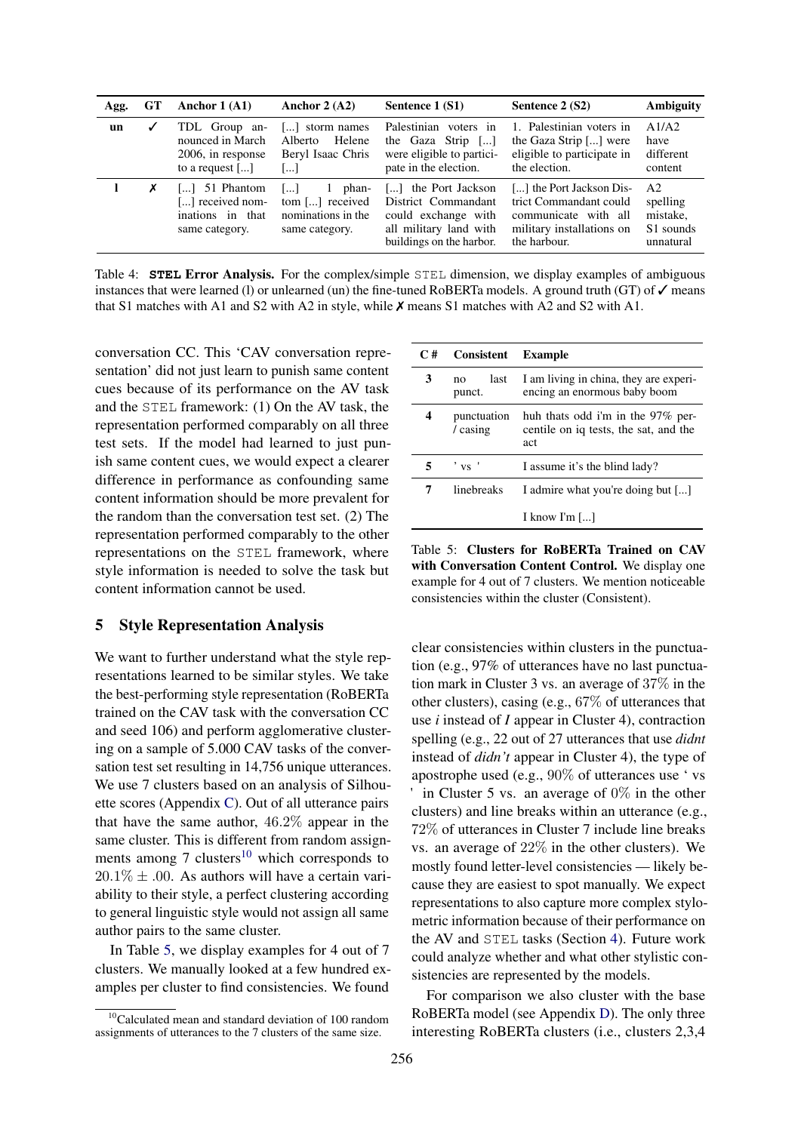<span id="page-7-0"></span>

| Agg. | GT | Anchor $1(A1)$                                                                                 | Anchor 2 $(A2)$                                                          | Sentence 1 (S1)                                                                                                            | Sentence 2 (S2)                                                                                                         | <b>Ambiguity</b>                                                 |
|------|----|------------------------------------------------------------------------------------------------|--------------------------------------------------------------------------|----------------------------------------------------------------------------------------------------------------------------|-------------------------------------------------------------------------------------------------------------------------|------------------------------------------------------------------|
| un   | ✓  | TDL Group an-<br>nounced in March<br>2006, in response<br>to a request $\lceil \dots \rceil$   | [] storm names<br>Helene<br>Alberto<br>Beryl Isaac Chris<br>[]           | Palestinian voters in<br>the Gaza Strip []<br>were eligible to partici-<br>pate in the election.                           | 1. Palestinian voters in<br>the Gaza Strip [] were<br>eligible to participate in<br>the election.                       | A1/A2<br>have<br>different<br>content                            |
|      | Х  | $\lceil \ldots \rceil$ 51 Phantom<br>[] received nom-<br>in that<br>inations<br>same category. | phan-<br>ا …ا<br>tom [] received<br>nominations in the<br>same category. | the Port Jackson<br>11<br>District Commandant<br>could exchange with<br>all military land with<br>buildings on the harbor. | [] the Port Jackson Dis-<br>trict Commandant could<br>communicate with all<br>military installations on<br>the harbour. | A <sub>2</sub><br>spelling<br>mistake,<br>S1 sounds<br>unnatural |

Table 4: **STEL** Error Analysis. For the complex/simple STEL dimension, we display examples of ambiguous instances that were learned (l) or unlearned (un) the fine-tuned RoBERTa models. A ground truth (GT) of  $\checkmark$  means that S1 matches with A1 and S2 with A2 in style, while ✗ means S1 matches with A2 and S2 with A1.

conversation CC. This 'CAV conversation representation' did not just learn to punish same content cues because of its performance on the AV task and the STEL framework: (1) On the AV task, the representation performed comparably on all three test sets. If the model had learned to just punish same content cues, we would expect a clearer difference in performance as confounding same content information should be more prevalent for the random than the conversation test set. (2) The representation performed comparably to the other representations on the STEL framework, where style information is needed to solve the task but content information cannot be used.

### 5 Style Representation Analysis

We want to further understand what the style representations learned to be similar styles. We take the best-performing style representation (RoBERTa trained on the CAV task with the conversation CC and seed 106) and perform agglomerative clustering on a sample of 5.000 CAV tasks of the conversation test set resulting in 14,756 unique utterances. We use 7 clusters based on an analysis of Silhouette scores (Appendix [C\)](#page-16-1). Out of all utterance pairs that have the same author, 46.2% appear in the same cluster. This is different from random assignments among  $7 \text{ clusters}^{10}$  $7 \text{ clusters}^{10}$  $7 \text{ clusters}^{10}$  which corresponds to  $20.1\% \pm .00$ . As authors will have a certain variability to their style, a perfect clustering according to general linguistic style would not assign all same author pairs to the same cluster.

In Table [5,](#page-7-2) we display examples for 4 out of 7 clusters. We manually looked at a few hundred examples per cluster to find consistencies. We found

<span id="page-7-2"></span>

| C# | <b>Consistent</b>                   | Example                                                                           |
|----|-------------------------------------|-----------------------------------------------------------------------------------|
| 3  | last<br>no<br>punct.                | I am living in china, they are experi-<br>encing an enormous baby boom            |
| 4  | punctuation<br>$\frac{1}{2}$ casing | huh thats odd i'm in the 97% per-<br>centile on iq tests, the sat, and the<br>act |
|    | $' \text{vs}$                       | I assume it's the blind lady?                                                     |
| 7  | linebreaks                          | I admire what you're doing but []                                                 |
|    |                                     | I know I'm []                                                                     |

Table 5: Clusters for RoBERTa Trained on CAV with Conversation Content Control. We display one example for 4 out of 7 clusters. We mention noticeable consistencies within the cluster (Consistent).

clear consistencies within clusters in the punctuation (e.g., 97% of utterances have no last punctuation mark in Cluster 3 vs. an average of 37% in the other clusters), casing (e.g., 67% of utterances that use *i* instead of *I* appear in Cluster 4), contraction spelling (e.g., 22 out of 27 utterances that use *didnt* instead of *didn't* appear in Cluster 4), the type of apostrophe used (e.g., 90% of utterances use ' vs ' in Cluster 5 vs. an average of  $0\%$  in the other clusters) and line breaks within an utterance (e.g., 72% of utterances in Cluster 7 include line breaks vs. an average of 22% in the other clusters). We mostly found letter-level consistencies — likely because they are easiest to spot manually. We expect representations to also capture more complex stylometric information because of thei[r p](#page-4-1)erformance on the AV and STEL tasks (Section 4). Future work could analyze whether and what other stylistic consistencies are represented by the models.

For comparison we also clu[ste](#page-16-2)r with the base RoBERTa model (see Appendix D). The only three interesting RoBERTa clusters (i.e., clusters 2,3,4

<span id="page-7-1"></span> $10$ Calculated mean and standard deviation of 100 random assignments of utterances to the 7 clusters of the same size.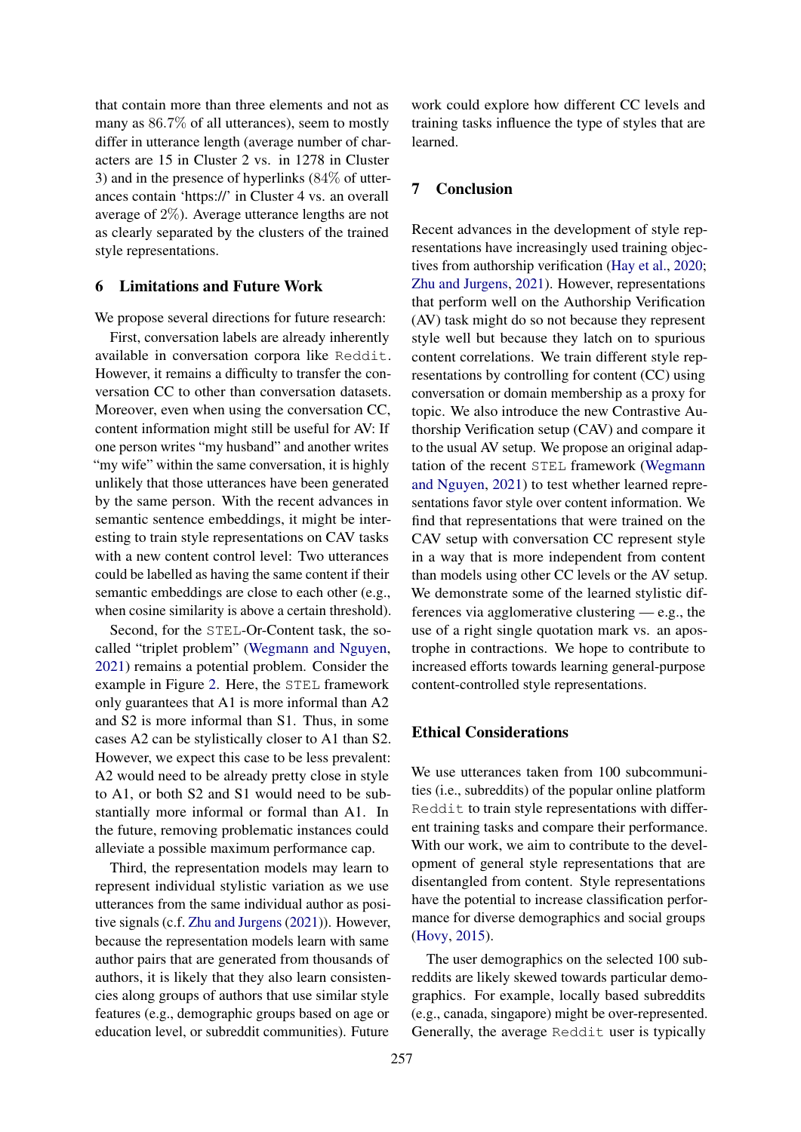that contain more than three elements and not as many as 86.7% of all utterances), seem to mostly differ in utterance length (average number of characters are 15 in Cluster 2 vs. in 1278 in Cluster 3) and in the presence of hyperlinks (84% of utterances contain 'https://' in Cluster 4 vs. an overall average of 2%). Average utterance lengths are not as clearly separated by the clusters of the trained style representations.

### 6 Limitations and Future Work

We propose several directions for future research:

First, conversation labels are already inherently available in conversation corpora like Reddit. However, it remains a difficulty to transfer the conversation CC to other than conversation datasets. Moreover, even when using the conversation CC, content information might still be useful for AV: If one person writes "my husband" and another writes "my wife" within the same conversation, it is highly unlikely that those utterances have been generated by the same person. With the recent advances in semantic sentence embeddings, it might be interesting to train style representations on CAV tasks with a new content control level: Two utterances could be labelled as having the same content if their semantic embeddings are close to each other (e.g., when cosine similarity is above a certain threshold).

Second, for the STEL[-Or-Content task, the so](#page-11-5)[called](#page-11-5) "triplet problem" (Wegmann and Nguyen, 2021) remains a p[ote](#page-5-2)ntial problem. Consider the example in Figure 2. Here, the STEL framework only guarantees that A1 is more informal than A2 and S2 is more informal than S1. Thus, in some cases A2 can be stylistically closer to A1 than S2. However, we expect this case to be less prevalent: A2 would need to be already pretty close in style to A1, or both S2 and S1 would need to be substantially more informal or formal than A1. In the future, removing problematic instances could alleviate a possible maximum performance cap.

Third, the representation models may learn to represent individual stylistic variation as we use utterances fro[m the same individual aut](#page-12-0)hor as positive signals (c.f. Zhu and Jurgens (2021)). However, because the representation models learn with same author pairs that are generated from thousands of authors, it is likely that they also learn consistencies along groups of authors that use similar style features (e.g., demographic groups based on age or education level, or subreddit communities). Future

work could explore how different CC levels and training tasks influence the type of styles that are learned.

# 7 Conclusion

Recent advances in the develop[ment of style rep](#page-10-5)[resentations have increa](#page-12-0)singly used training objectives from authorship verification (Hay et al., 2020; Zhu and Jurgens, 2021). However, representations that perform well on the Authorship Verification (AV) task might do so not because they represent style well but because they latch on to spurious content correlations. We train different style representations by controlling for content (CC) using conversation or domain membership as a proxy for topic. We also introduce the new Contrastive Authorship Verification setup (CAV) and [compare it](#page-11-5) [to the usual AV setu](#page-11-5)p. We propose an original adaptation of the recent STEL framework (Wegmann and Nguyen, 2021) to test whether learned representations favor style over content information. We find that representations that were trained on the CAV setup with conversation CC represent style in a way that is more independent from content than models using other CC levels or the AV setup. We demonstrate some of the learned stylistic differences via agglomerative clustering — e.g., the use of a right single quotation mark vs. an apostrophe in contractions. We hope to contribute to increased efforts towards learning general-purpose content-controlled style representations.

# Ethical Considerations

We use utterances taken from 100 subcommunities (i.e., subreddits) of the popular online platform Reddit to train style representations with different training tasks and compare their performance. With our work, we aim to contribute to the devel[opment of ge](#page-10-17)neral style representations that are disentangled from content. Style representations have the potential to increase classification performance for diverse demographics and social groups (Hovy, 2015).

<span id="page-8-0"></span>The user demographics on the selected 100 subreddits are likely skewed towards p[artic](#page-8-0)ular demographics. For example, locally based subreddits (e.g., canada, singapore) might be over-represented. Generally, the average Reddit user is typically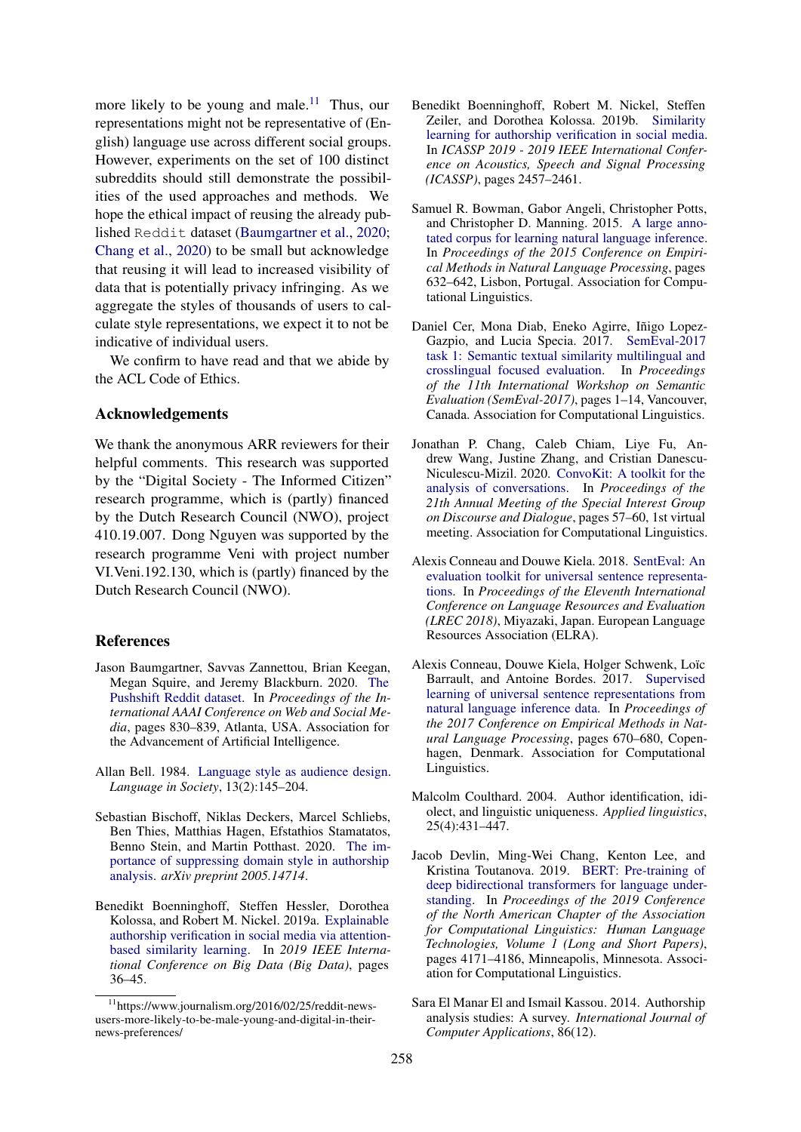more likely to be young and male.<sup>11</sup> Thus, our representations might not be representative of (English) language use across different social groups. However, experiments on the set of 100 distinct subreddits should still demonstrate the possibilities of the used approaches and methods. We hope the ethical impact [of reusing the already pub](#page-9-13)lished [Reddi](#page-9-11)t [data](#page-9-11)set (Baumgartner et al., 2020; Chang et al., 2020) to be small but acknowledge that reusing it will lead to increased visibility of data that is potentially privacy infringing. As we aggregate the styles of thousands of users to calculate style representations, we expect it to not be indicative of individual users.

We confirm to have read and that we abide by the ACL Code of Ethics.

#### Acknowledgements

We thank the anonymous ARR reviewers for their helpful comments. This research was supported by the "Digital Society - The Informed Citizen" research programme, which is (partly) financed by the Dutch Research Council (NWO), project 410.19.007. Dong Nguyen was supported by the research programme Veni with project number VI.Veni.192.130, which is (partly) financed by the Dutch Research Council (NWO).

# <span id="page-9-13"></span>References

- Ja[son Baumgartner, Savvas](https://ojs.aaai.org/index.php/ICWSM/article/view/7347) Zannettou, Brian Keegan, Megan Squire, and Jeremy Blackburn. 2020. The Pushshift Reddit dataset. In *Proceedings of the International AAAI Conference on Web and Social Media*, pages 830–839, Atlanta, USA. Association for the Advanceme[nt of Artificial Intelligence.](http://www.jstor.org/stable/4167516)
- <span id="page-9-5"></span><span id="page-9-2"></span>Allan Bell. 1984. Language style as audience design. *Language in Society*, 13(2):145–204.
- <span id="page-9-6"></span>Se[bastian Bischoff, Niklas Deckers, Marcel Schliebs,](http://arxiv.org/abs/2005.14714) [Ben Thi](http://arxiv.org/abs/2005.14714)es, Matthias Hagen, Efstathios Stamatatos, Benno Stein, and Martin Potthast. 2020. The importance of suppressing domain style in authorship analysis. *arXiv preprint 2005.14714*.
- <span id="page-9-4"></span>B[enedikt Boenninghoff, St](https://doi.org/10.1109/BigData47090.2019.9005650)effen Hessler, Dorothea Kolossa, and Robert M. Nickel. 2019a. Explainable authorship verification in social media via attentionbased similarity learning. In *2019 IEEE International Conference on Big Data (Big Data)*[, pages](https://doi.org/10.1109/ICASSP.2019.8683405) [36–45.](https://doi.org/10.1109/ICASSP.2019.8683405)
- <span id="page-9-9"></span>Benedikt Boenninghoff, Robert M. Nickel, Steffen Zeiler, and Dorothea Kolossa. 2019b. [Similarity](https://doi.org/10.18653/v1/D15-1075) [learning for authorship verification in social media.](https://doi.org/10.18653/v1/D15-1075) In *ICASSP 2019 - 2019 IEEE International Conference on Acoustics, Speech and Signal Processing (ICASSP)*, pages 2457–2461.
- <span id="page-9-8"></span>Samuel R. Bowman, Gabor Angeli, Christopher Potts, and Christopher D. Manning. 2015. A large annotated corpus for learning natural lan[guage inference.](https://doi.org/10.18653/v1/S17-2001) In *[Proceedings of the 2015 Conference on Empiri](https://doi.org/10.18653/v1/S17-2001)[cal Methods in Natural Language](https://doi.org/10.18653/v1/S17-2001) Processing*, pages 632–642, Lisbon, Portugal. Association for Computational Linguistics.
- <span id="page-9-11"></span>Daniel Cer, Mona Diab, Eneko Agirre, Iñigo Lopez-Gazpio, and Lucia Specia. 2017. SemEval-2017 task 1: Semantic textual similarity multilingual and crosslingual focused e[valuation. In](https://aclanthology.org/2020.sigdial-1.8) *Proceedings [of the 11th International](https://aclanthology.org/2020.sigdial-1.8) Workshop on Semantic Evaluation (SemEval-2017)*, pages 1–14, Vancouver, Canada. Association for Computational Linguistics.
- <span id="page-9-10"></span>Jonathan P. Chang, Caleb Chiam, Liye Fu, Andrew Wang, Justine Zhang, and Cris[tian Danescu-](https://aclanthology.org/L18-1269)Niculescu-Mizil. 2020. [ConvoKit: A toolkit for the](https://aclanthology.org/L18-1269) [analy](https://aclanthology.org/L18-1269)sis of conversations. In *Proceedings of the 21th Annual Meeting of the Special Interest Group on Discourse and Dialogue*, pages 57–60, 1st virtual meeting. Association for Computational Linguistics.
- <span id="page-9-7"></span>Alexis Conneau and Douwe Kiela. 2018. SentEval: An evaluation toolkit for universal sentence representations. In *Proceedings of the Eleventh I[nternational](https://doi.org/10.18653/v1/D17-1070) [Conference on Language Resources and Evaluation](https://doi.org/10.18653/v1/D17-1070) (LREC 2018)*, Miyazaki, Japan. European Language Resources Association (ELRA).
- <span id="page-9-3"></span>Alexis Conneau, Douwe Kiela, Holger Schwenk, Loïc Barrault, and Antoine Bordes. 2017. Supervised learning of universal sentence representations from natural language inference data. In *Proceedings of the 2017 Conference on Empirical Methods in Natural Language Processing*, pages 670–680, Copenhagen, Denmark. Association for Computational Linguistics.
- <span id="page-9-12"></span>M[alcolm Coulthard. 2004. Author identification, idi](https://doi.org/10.18653/v1/N19-1423)[olect, and](https://doi.org/10.18653/v1/N19-1423) linguistic uniqueness. *Applied linguistics*, 25(4):431–447.
- <span id="page-9-1"></span>Jacob Devlin, Ming-Wei Chang, Kenton Lee, and Kristina Toutanova. 2019. BERT: Pre-training of deep bidirectional transformers for language understanding. In *Proceedings of the 2019 Conference of the North American Chapter of the Association for Computational Linguistics: Human Language Technologies, Volume 1 (Long and Short Papers)*, pages 4171–4186, Minneapolis, Minnesota. Association for Computational Linguistics.
- <span id="page-9-0"></span>S[ara El](https://doi.org/10.18653/v1/W17-4912) Manar El and Ismail Kassou. 2014. Authorship analysis studies: A survey. *International Journal of Computer Applications*, 86(12).

<sup>11</sup>https://www.journalism.org/2016/02/25/reddit-newsusers-more-likely-to-be-male-young-and-digital-in-theirnews-preferences/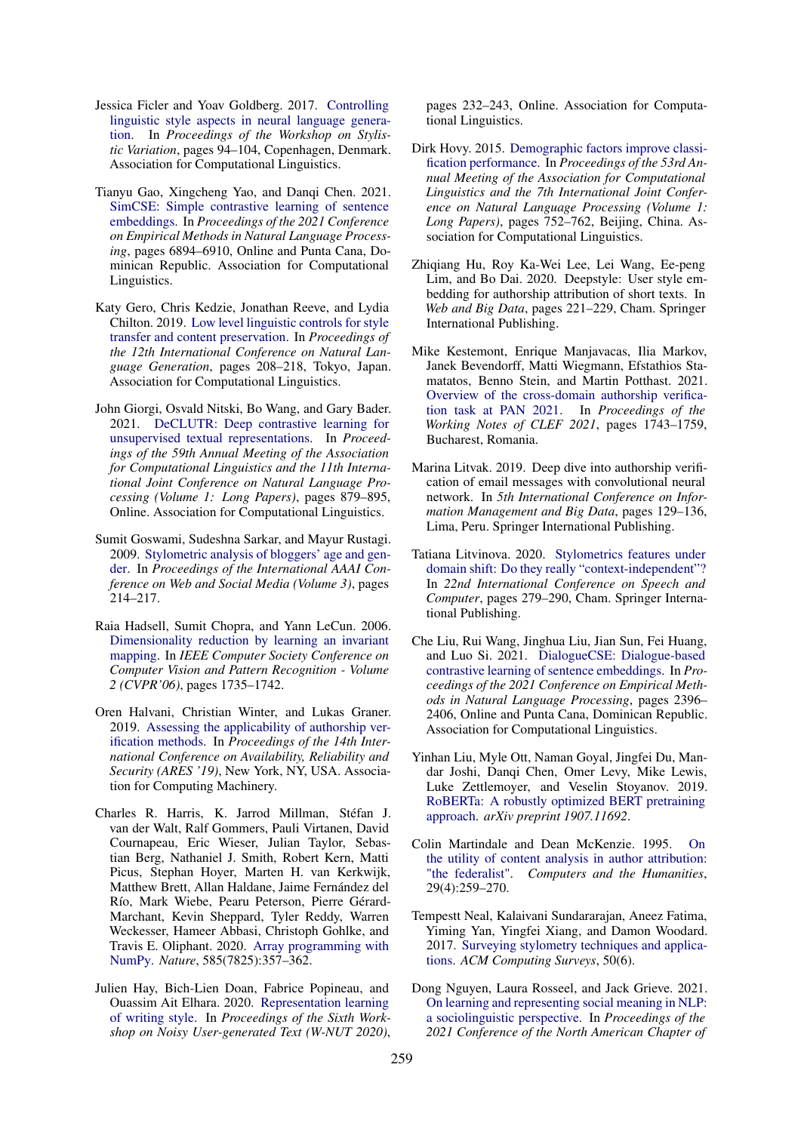- <span id="page-10-13"></span>Jessica Ficler and Yoav Goldberg. 2017. Controlling [linguistic style aspects in neural language genera](https://aclanthology.org/2021.emnlp-main.552)[tion. In](https://aclanthology.org/2021.emnlp-main.552) *Proceedings of the Workshop on Stylistic Variation*, pages 94–104, Copenhagen, Denmark. Association for Computational Linguistics.
- <span id="page-10-6"></span>Tianyu Gao, Xingcheng Yao, and Danqi Chen. 2021. SimCSE: Simple contrastive learning of sentence embeddings. In *Proceedings of the 2021 Conference on Empirical [Methods in Natural Language Process](https://doi.org/10.18653/v1/W19-8628)ing*[, pages 6894–6910, Online an](https://doi.org/10.18653/v1/W19-8628)d Punta Cana, Dominican Republic. Association for Computational Linguistics.
- <span id="page-10-12"></span>Katy Gero, Chris Kedzie, Jonathan Reeve, and Lydia Chilton. 2019. Low level linguistic controls for style transfer [and content preservation. In](https://doi.org/10.18653/v1/2021.acl-long.72) *Proceedings of [the 12th International Conference on](https://doi.org/10.18653/v1/2021.acl-long.72) Natural Language Generation*, pages 208–218, Tokyo, Japan. Association for Computational Linguistics.
- <span id="page-10-1"></span>John Giorgi, Osvald Nitski, Bo Wang, and Gary Bader. 2021. DeCLUTR: Deep contrastive learning for unsupervised textual representations. In *Proceedings of the 59th Annual Meeting of the Association for C[omputational Linguistics and the 11th Interna](https://ojs.aaai.org/index.php/ICWSM/article/view/13992)[tion](https://ojs.aaai.org/index.php/ICWSM/article/view/13992)al Joint Conference on Natural Language Processing (Volume 1: Long Papers)*, pages 879–895, Online. Association for Computational Linguistics.
- <span id="page-10-11"></span>Sumit Goswami, Sudeshna Sarkar, and Mayur Rustagi. 2009. [Stylometric analysis of bloggers' age and gen](https://doi.org/10.1109/CVPR.2006.100)[der. In](https://doi.org/10.1109/CVPR.2006.100) *Proceedings of the International AAAI Conference on Web and Social Media (Volume 3)*, pages 214–217.
- <span id="page-10-7"></span>Raia Hadsell, Sumit Chopra, and Yann LeCun. 2006. Dime[nsionality reduction by learning an invariant](https://doi.org/10.1145/3339252.3340508) [mapping. In](https://doi.org/10.1145/3339252.3340508) *IEEE Computer Society Conference on Computer Vision and Pattern Recognition - Volume 2 (CVPR'06)*, pages 1735–1742.
- <span id="page-10-18"></span>Oren Halvani, Christian Winter, and Lukas Graner. 2019. Assessing the applicability of authorship verification methods. In *Proceedings of the 14th International Conference on Availability, Reliability and Security (ARES '19)*, New York, NY, USA. Association for Computing Machinery.
- <span id="page-10-5"></span>Charles R. Harris, K. Jarrod Millman, Stéfan J. van der Walt, Ralf Gommers, Pauli Virtanen, David Cournapeau, Eric Wieser, Julian Taylor, Sebastian Berg, Nathaniel J. S[mith, Robert Kern, Matti](https://doi.org/10.1038/s41586-020-2649-2) [Picus, S](https://doi.org/10.1038/s41586-020-2649-2)tephan Hoyer, Marten H. van Kerkwijk, Matthew Brett, Allan Haldane, Jaime Fernández del Río, Mark Wiebe, Pearu Peterson, Pierre Gérard-Marchant, Kevin Sheppar[d, Tyler Reddy, Warren](https://doi.org/10.18653/v1/2020.wnut-1.30) [Weckesser, Ham](https://doi.org/10.18653/v1/2020.wnut-1.30)eer Abbasi, Christoph Gohlke, and Travis E. Oliphant. 2020. Array programming with NumPy. *Nature*, 585(7825):357–362.
- <span id="page-10-17"></span>Julien Hay, Bich-Lien Doan, Fabrice Popineau, and Ouassim Ait Elhara. 2020. [Representation learning](https://doi.org/10.3115/v1/P15-1073) [of writing style. In](https://doi.org/10.3115/v1/P15-1073) *Proceedings of the Sixth Workshop on Noisy User-generated Text (W-NUT 2020)*,

pages 232–243, Online. Association for Computational Linguistics.

- <span id="page-10-9"></span>Dirk Hovy. 2015. Demographic factors improve classification performance. In *Proceedings of the 53rd Annual Meeting of the Association for Computational Linguistics and the 7th International Joint Conference on Natural Language Processing (Volume 1: Long Papers)*, pages 752–762, Beijing, China. Association for Computational Linguistics.
- <span id="page-10-16"></span>Zhiqiang Hu, Roy Ka-Wei Lee, Lei Wang, Ee-peng Lim, and Bo Dai. 2020. Deepstyle: User style embedding for authorship attribution of short texts. In *Web and Big Data*[, pages 221–229, Cham. Springer](http://ceur-ws.org/Vol-2936/#paper-147) [International Publishing.](http://ceur-ws.org/Vol-2936/#paper-147)
- <span id="page-10-8"></span>Mike Kestemont, Enrique Manjavacas, Ilia Markov, Janek Bevendorff, Matti Wiegmann, Efstathios Stamatatos, Benno Stein, and Martin Potthast. 2021. Overview of the cross-domain authorship verification task at PAN 2021. In *Proceedings of the Working Notes of CLEF 2021*, pages 1743–1759, Bucharest, Romania.
- <span id="page-10-10"></span>Marina Litvak. 2019. Dee[p dive into authorship verifi](https://doi.org/10.1007/978-3-030-60276-5_28)[cation of email messages with convolutional neural](https://doi.org/10.1007/978-3-030-60276-5_28) network. In *5th International Conference on Information Management and Big Data*, pages 129–136, Lima, Peru. Springer International Publishing.
- <span id="page-10-14"></span>Tatiana Litvinova. 2020. Stylometrics features under [domain shift: Do they really "context-independent"?](https://aclanthology.org/2021.emnlp-main.185) In *22nd International Conference on Speech and Computer*, pages 279–290, Cham. Springer International Publishing.
- <span id="page-10-15"></span>Che Liu, Rui Wang, Jinghua Liu, Jian Sun, Fei Huang, and Luo Si. 2021. DialogueCSE: Dialogue-based contrastive learning of sentence embeddings. In *Proceedings of the 2021 Conference on Empirical Meth[ods in Natural Language Processing](http://arxiv.org/abs/1907.11692)*, pages 2396– [2406, Onl](http://arxiv.org/abs/1907.11692)ine and Punta Cana, Dominican Republic. Association for Computational Linguistics.
- <span id="page-10-4"></span>Yi[nhan Liu, Myle Ott, Naman Goyal, Jingfei Du, Man](http://www.jstor.org/stable/30204503)[dar Joshi, Danq](http://www.jstor.org/stable/30204503)i Chen, Omer Levy, Mike Lewis, Luke Zettlemoyer, and Veselin Stoyanov. 2019. RoBERTa: A robustly optimized BERT pretraining approach. *arXiv preprint 1907.11692*.
- <span id="page-10-3"></span>Colin [Martindale and Dean McKenzie. 1995.](https://doi.org/10.1145/3132039) On [the u](https://doi.org/10.1145/3132039)tility of content analysis in author attribution: "the federalist". *Computers and the Humanities*, 29(4):259–270.
- <span id="page-10-0"></span>Te[mpestt Neal, Kalaivani Sundararajan, Aneez Fatima,](https://doi.org/10.18653/v1/2021.naacl-main.50) Yiming Yan, Yingfei Xiang, and Damon Woodard. 2017. Surveying stylometry techniques and applications. *ACM Computing Surveys*, 50(6).
- <span id="page-10-2"></span>Dong Nguyen, Laura Rosseel, and Jack Grieve. 2021. On learning and representing social meaning in NLP: a soci[olinguistic perspective. In](https://doi.org/10.18653/v1/D17-1299) *Proceedings of the [2021 Conference of the North American Chapter of](https://doi.org/10.18653/v1/D17-1299)*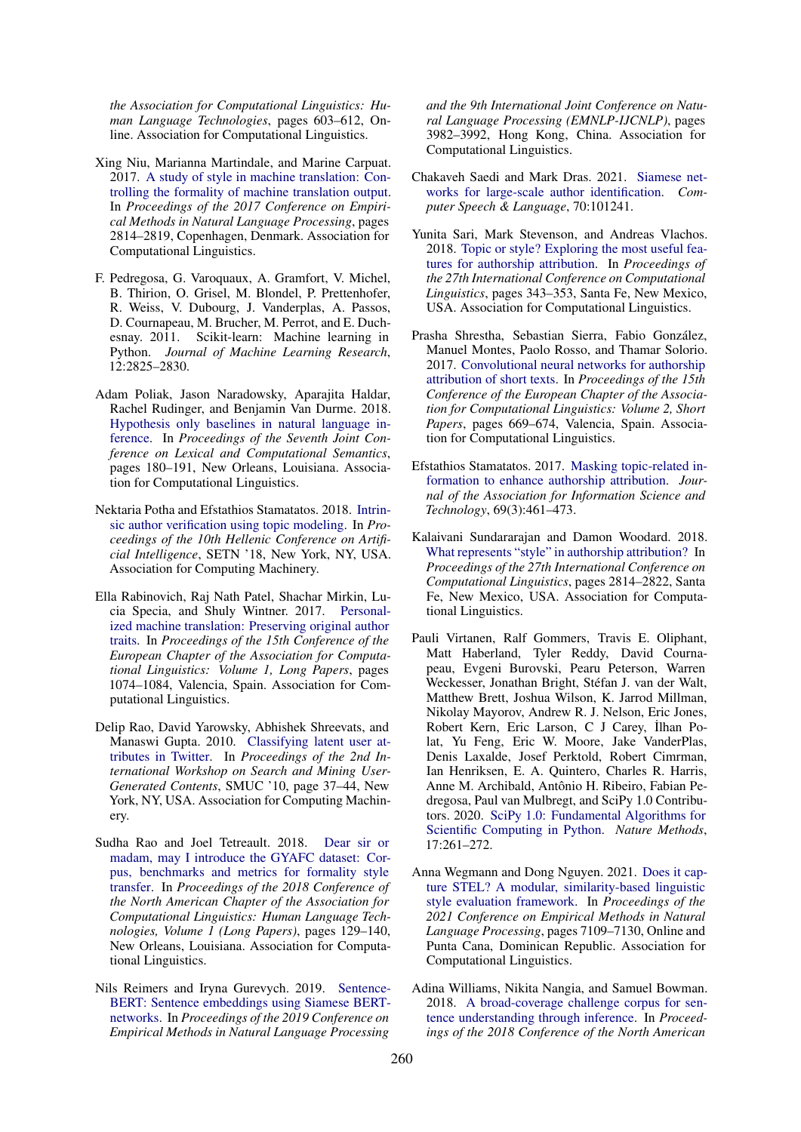*the Association for Computational Linguistics: Human Language Technologies*, pages 603–612, Online. Association for Computational Linguistics.

- <span id="page-11-15"></span>Xing Niu, Marianna Martindale, and Marine Carpuat. 2017. A study of style in machine translation: Controlling the formality of machine translation output. In *Proceedings of the 2017 Conference on Empirical Methods in Natural Language Processing*, pages 2814–2819, Copenhagen, Denmark. Association for Computational Linguistics.
- <span id="page-11-2"></span>F. Pedregosa, G. Varoquaux, A. Gramfort, V. Michel, B. Thirion, O. Grisel, M. Blondel, P. Prettenhofer, R. Weiss, V. Dubourg, J. Vanderplas, A. Passos, [D. Cournapeau, M. Brucher, M. Perrot, and E. Duch](https://doi.org/10.18653/v1/S18-2023)[esnay. 2](https://doi.org/10.18653/v1/S18-2023)011. Scikit-learn: Machine learning in Python. *Journal of Machine Learning Research*, 12:2825–2830.
- <span id="page-11-11"></span>Adam Poliak, Jason Naradowsky, Aparajita Haldar, Rachel Rudinger, and Benjamin Van Durme[. 2018.](https://doi.org/10.1145/3200947.3201013) [Hypothesis only baselines in natural langu](https://doi.org/10.1145/3200947.3201013)age inference. In *Proceedings of the Seventh Joint Conference on Lexical and Computational Semantics*, pages 180–191, New Orleans, Louisiana. Association for Computational Linguistics.
- <span id="page-11-1"></span>Nektaria Potha and Efstathios Stamatatos. 2018. [Intrin](https://aclanthology.org/E17-1101)[sic author verification using topic modeling. In](https://aclanthology.org/E17-1101) *Pro[ceedin](https://aclanthology.org/E17-1101)gs of the 10th Hellenic Conference on Artificial Intelligence*, SETN '18, New York, NY, USA. Association for Computing Machinery.
- <span id="page-11-0"></span>Ella Rabinovich, Raj Nath Patel, Shachar Mirkin, Lucia Specia, and Shuly Wintner. 2017. Personalized machine translation: [Preserving original author](https://doi.org/10.1145/1871985.1871993) traits. In *Proceedings of the 15th Conference of the [European Chapter](https://doi.org/10.1145/1871985.1871993) of the Association for Computational Linguistics: Volume 1, Long Papers*, pages 1074–1084, Valencia, Spain. Association for Computational Linguistics.
- <span id="page-11-12"></span>Delip Rao, David Yarowsky, Abhishek S[hreevats, and](https://doi.org/10.18653/v1/N18-1012) Manaswi Gupta. 2010. [Classifying latent user at](https://doi.org/10.18653/v1/N18-1012)tributes in Twitter. In *[Proceedings of the 2nd In](https://doi.org/10.18653/v1/N18-1012)[ternatio](https://doi.org/10.18653/v1/N18-1012)nal Workshop on Search and Mining User-Generated Contents*, SMUC '10, page 37–44, New York, NY, USA. Association for Computing Machinery.
- <span id="page-11-4"></span>Sudha Rao and Joel Tetreault. 2018. Dear sir or madam, may I introduce the GYAFC dataset: Corpus, benchmarks and metrics for form[ality style](https://doi.org/10.18653/v1/D19-1410) transfer. In *[Proceedings of the 2018 Conference of](https://doi.org/10.18653/v1/D19-1410) [the North](https://doi.org/10.18653/v1/D19-1410) American Chapter of the Association for Computational Linguistics: Human Language Technologies, Volume 1 (Long Papers)*, pages 129–140, New Orleans, Louisiana. Association for Computational Linguistics.
- <span id="page-11-7"></span>Nils Reimers and Iryna Gurevych. 2019. Sentence-BERT: Sentence embeddings using Si[amese BERT](https://doi.org/https://doi.org/10.1016/j.csl.2021.101241)networks. In *[Proceedings of the 2019 Confer](https://doi.org/https://doi.org/10.1016/j.csl.2021.101241)ence on Empirical Methods in Natural Language Processing*

<span id="page-11-10"></span>*and the 9th International Joint Conference on Natural L[anguage Processing \(EMNLP-IJCNLP\)](https://aclanthology.org/C18-1029)*, pages [3982–3992, Hong Kong, Chi](https://aclanthology.org/C18-1029)na. Association for Computational Linguistics.

- <span id="page-11-6"></span>Chakaveh Saedi and Mark Dras. 2021. Siamese networks for large-scale author identification. *Computer Speech & Language*, 70:101241.
- Yunita [Sari, Mark Stevenson, and Andreas Vlachos.](https://aclanthology.org/E17-2106) 2018. [Topic or style? Ex](https://aclanthology.org/E17-2106)ploring the most useful features for authorship attribution. In *Proceedings of the 27th International Conference on Computational Linguistics*, pages 343–353, Santa Fe, New Mexico, USA. Association for Computational Linguistics.
- <span id="page-11-8"></span>Prasha Shrestha, Sebastian [Sierra, Fabio González,](https://doi.org/10.1002/asi.23968) [Manuel Montes, Paolo Rosso, and Thamar S](https://doi.org/10.1002/asi.23968)olorio. 2017. Convolutional neural networks for authorship attribution of short texts. In *Proceedings of the 15th Conference of the European Chapter of the Association for Computational Linguistics: Volume 2, Short Papers*[, pages 669–674, Valencia, Spain. Assoc](https://aclanthology.org/C18-1238)iation for Computational Linguistics.
- <span id="page-11-3"></span>Efstathios Stamatatos. 2017. Masking topic-related information to enhance authorship attribution. *Journal of the Association for Information Science and Technology*, 69(3):461–473.
- <span id="page-11-14"></span>Kalaivani Sundararajan and Damon Woodard. 2018. What represents "style" in authorship attribution? In *Proceedings of the 27th International Conference on Computational Linguistics*, pages 2814–2822, Santa Fe, New Mexico, USA. Association for Computational Linguistics.
- <span id="page-11-5"></span>Pauli Virtanen, Ralf Gommers, Travis E. Oliphant, Matt Haberland, Tyler Reddy, David Cournapeau, Evgeni Burovski, Pearu Peterson, Warren Weckesser, [Jonathan Bright, Stéfan J. van der Walt,](https://doi.org/10.1038/s41592-019-0686-2) [Matthew Brett, Joshua Wilson, K](https://doi.org/10.1038/s41592-019-0686-2). Jarrod Millman, Nikolay Mayorov, Andrew R. J. Nelson, Eric Jones, Robert Kern, Eric Larson, C J Carey, ˙Ilhan Polat, Yu Feng, Eric W. Moore, Jake [VanderPlas,](https://aclanthology.org/2021.emnlp-main.569) [Denis Laxalde, Josef Perktold, Robert Cimrman,](https://aclanthology.org/2021.emnlp-main.569) [Ian Henriksen, E. A. Quin](https://aclanthology.org/2021.emnlp-main.569)tero, Charles R. Harris, Anne M. Archibald, Antônio H. Ribeiro, Fabian Pedregosa, Paul van Mulbregt, and SciPy 1.0 Contributors. 2020. SciPy 1.0: Fundamental Algorithms for Scientific Computing in Python. *Nature Methods*, 17:261–272.
- <span id="page-11-9"></span>Anna We[gmann and Dong Nguyen. 2021.](https://doi.org/10.18653/v1/N18-1101) Does it cap[ture STEL? A modular, similarity-bas](https://doi.org/10.18653/v1/N18-1101)ed linguistic style evaluation framework. In *Proceedings of the 2021 Conference on Empirical Methods in Natural Language Processing*, pages 7109–7130, Online and Punta Cana, Dominican Republic. Association for Computational Linguistics.
- <span id="page-11-13"></span>Adina Williams, Nikita Nangia, and Samuel Bowman. 2018. A broad-coverage challenge corpus for sentence understanding through inference. In *[Proceed](https://doi.org/10.1162/tacl_a_00107)[ings of the 2018 Conference of the North American](https://doi.org/10.1162/tacl_a_00107)*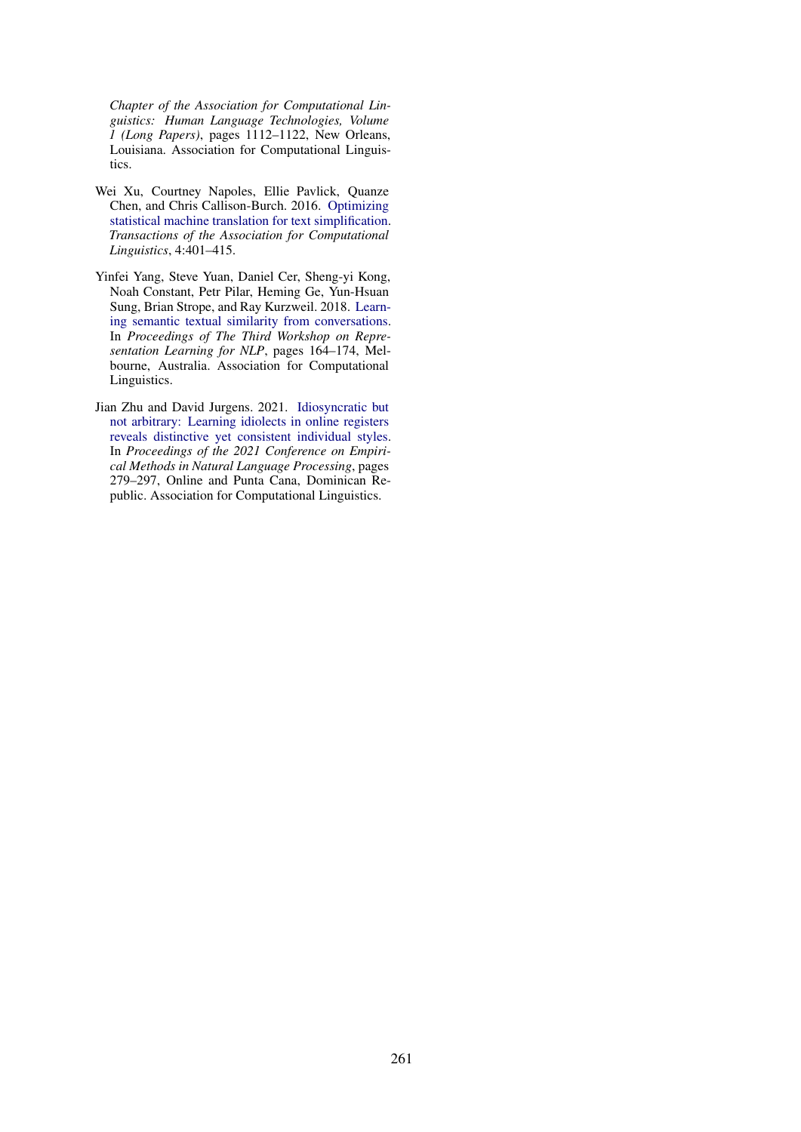<span id="page-12-1"></span>*Chapter of the Association for Computational Linguistics: Human Language Technologies, Volume 1 (Long Papers)*, pages 1112–1122, New Orleans, Louisiana. Association for Computational Linguistics.

- W[ei Xu, Courtney Napoles, Ellie Pavlick, Quanze](https://doi.org/10.18653/v1/W18-3022) Chen, and Chris Callison-Burch. 2016. Optimizing statistical machine translation for text simplification. *Transactions of the Association for Computational Linguistics*, 4:401–415.
- <span id="page-12-0"></span>Yinfei Yang, Steve Yuan, Daniel Ce[r, Sheng-yi Kong,](https://aclanthology.org/2021.emnlp-main.25) [Noah Constant, Petr Pilar, Heming Ge, Yun-Hsuan](https://aclanthology.org/2021.emnlp-main.25) [Sung, Brian Strope, and Ray Kurzweil. 2018.](https://aclanthology.org/2021.emnlp-main.25) Learning semantic textual similarity from conversations. In *Proceedings of The Third Workshop on Representation Learning for NLP*, pages 164–174, Melbourne, Australia. Association for Computational Linguistics.
- Jian Zhu and David Jurgens. 2021. Idiosyncratic but not arbitrary: Learning idiolects in online registers reveals distinctive yet consistent individual styles. In *Proceedings of the 2021 Conference on Empirical Methods in Natural Language Processing*, pages 279–297, Online and Punta Cana, Dominican Republic. Association for Computational Linguistics.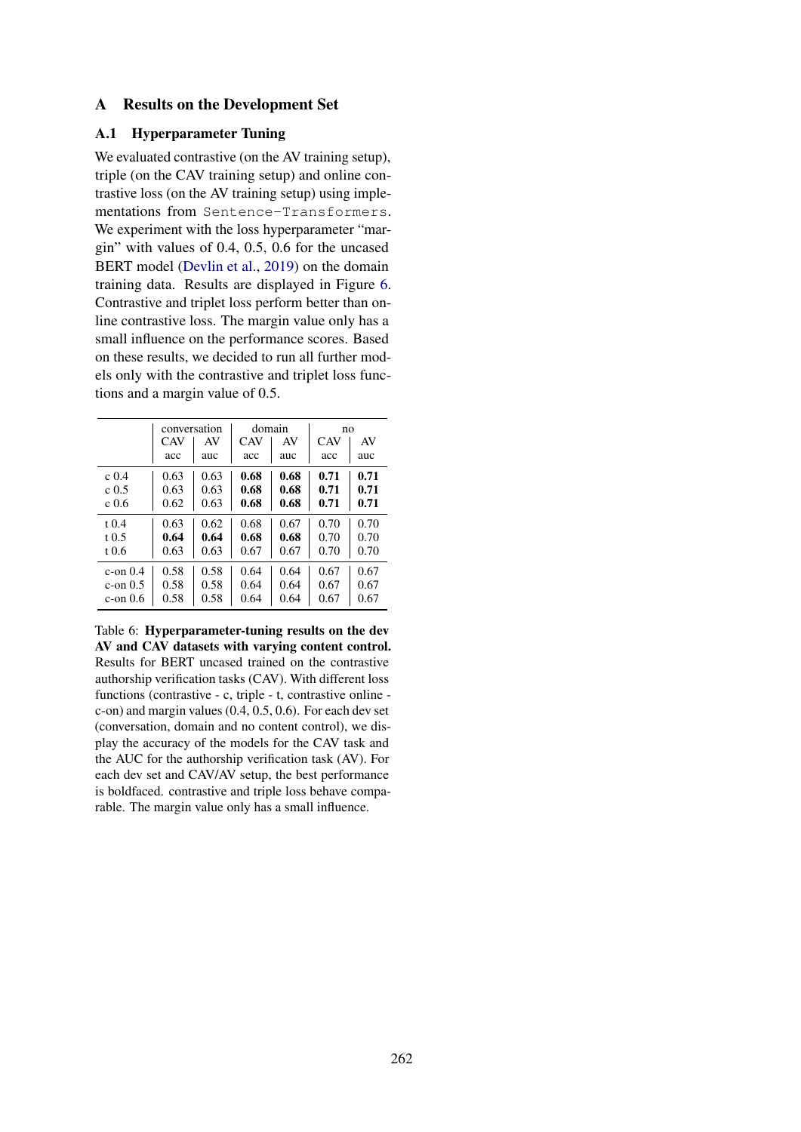### <span id="page-13-0"></span>A Results on the Development Set

### A.1 Hyperparameter Tuning

We evaluated contrastive (on the AV training setup), triple (on the CAV training setup) and online contrastive loss (on the AV training setup) using implementations from Sentence-Transformers. We experiment with the loss hyperparameter "margin" with values of 0.4, 0.5, 0.6 for the uncased BERT model [\(Devlin et al.,](#page-9-12) [2019\)](#page-9-12) on the domain training data. Results are displayed in Figure [6.](#page-13-1) Contrastive and triplet loss perform better than online contrastive loss. The margin value only has a small influence on the performance scores. Based on these results, we decided to run all further models only with the contrastive and triplet loss functions and a margin value of 0.5.

<span id="page-13-1"></span>

|                  | conversation |      | domain     |      | no   |      |
|------------------|--------------|------|------------|------|------|------|
|                  | <b>CAV</b>   | AV   | <b>CAV</b> | AV   | CAV  | AV   |
|                  | acc          | auc  | acc        | auc  | acc  | auc  |
| c <sub>0.4</sub> | 0.63         | 0.63 | 0.68       | 0.68 | 0.71 | 0.71 |
| c(0.5)           | 0.63         | 0.63 | 0.68       | 0.68 | 0.71 | 0.71 |
| $c\ge 0.6$       | 0.62         | 0.63 | 0.68       | 0.68 | 0.71 | 0.71 |
| $t \, 0.4$       | 0.63         | 0.62 | 0.68       | 0.67 | 0.70 | 0.70 |
| $t \, 0.5$       | 0.64         | 0.64 | 0.68       | 0.68 | 0.70 | 0.70 |
| t 0.6            | 0.63         | 0.63 | 0.67       | 0.67 | 0.70 | 0.70 |
| c-on $0.4$       | 0.58         | 0.58 | 0.64       | 0.64 | 0.67 | 0.67 |
| $c$ -on $0.5$    | 0.58         | 0.58 | 0.64       | 0.64 | 0.67 | 0.67 |
| $c$ -on $0.6$    | 0.58         | 0.58 | 0.64       | 0.64 | 0.67 | 0.67 |

Table 6: Hyperparameter-tuning results on the dev AV and CAV datasets with varying content control. Results for BERT uncased trained on the contrastive authorship verification tasks (CAV). With different loss functions (contrastive - c, triple - t, contrastive online c-on) and margin values (0.4, 0.5, 0.6). For each dev set (conversation, domain and no content control), we display the accuracy of the models for the CAV task and the AUC for the authorship verification task (AV). For each dev set and CAV/AV setup, the best performance is boldfaced. contrastive and triple loss behave comparable. The margin value only has a small influence.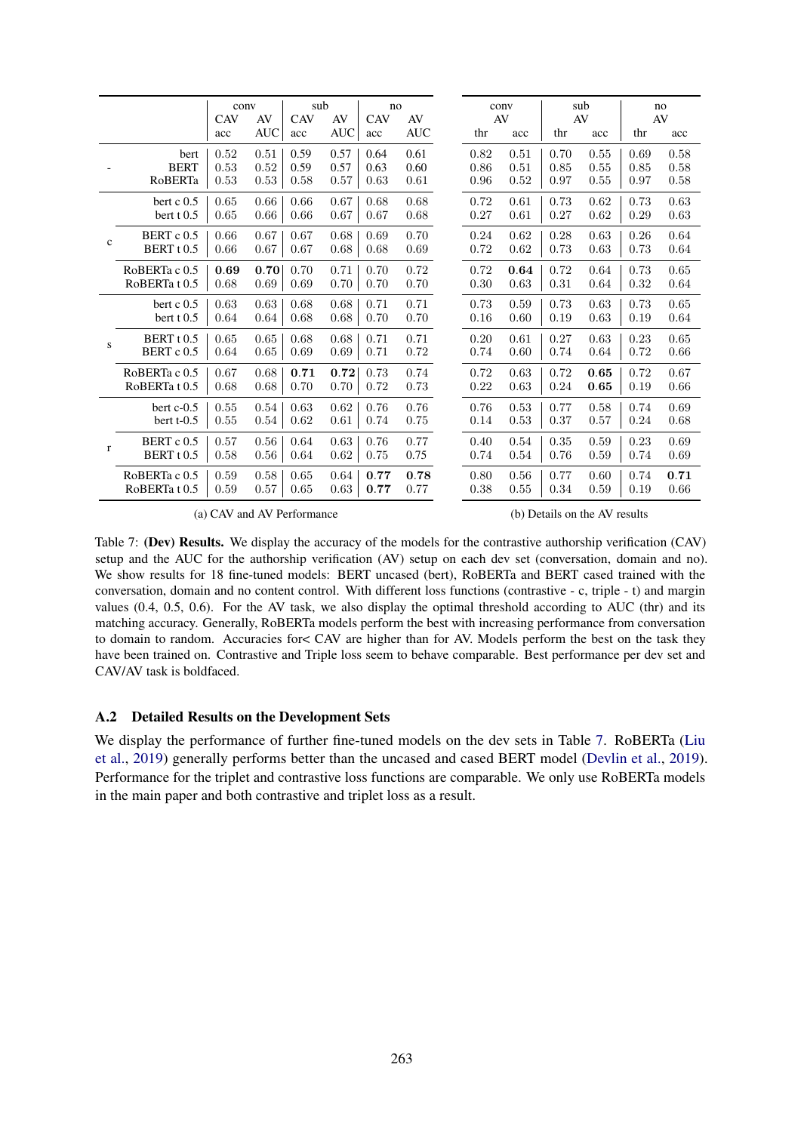<span id="page-14-0"></span>

|              |                       | conv       |                  | sub               |                  | no                |                  |           | conv |      | sub       |      | no        |
|--------------|-----------------------|------------|------------------|-------------------|------------------|-------------------|------------------|-----------|------|------|-----------|------|-----------|
|              |                       | CAV<br>acc | AV<br><b>AUC</b> | <b>CAV</b><br>acc | AV<br><b>AUC</b> | <b>CAV</b><br>acc | AV<br><b>AUC</b> | AV<br>thr | acc  | thr  | AV<br>acc | thr  | AV<br>acc |
|              | bert                  | 0.52       | 0.51             | 0.59              | 0.57             | 0.64              | 0.61             | 0.82      | 0.51 | 0.70 | 0.55      | 0.69 | 0.58      |
|              | <b>BERT</b>           | 0.53       | 0.52             | 0.59              | 0.57             | 0.63              | 0.60             | 0.86      | 0.51 | 0.85 | 0.55      | 0.85 | 0.58      |
|              | RoBERTa               | 0.53       | 0.53             | 0.58              | 0.57             | 0.63              | 0.61             | 0.96      | 0.52 | 0.97 | 0.55      | 0.97 | 0.58      |
|              | bert $c$ 0.5          | 0.65       | 0.66             | 0.66              | 0.67             | 0.68              | 0.68             | 0.72      | 0.61 | 0.73 | 0.62      | 0.73 | 0.63      |
|              | bert $t$ 0.5          | 0.65       | 0.66             | 0.66              | 0.67             | 0.67              | 0.68             | 0.27      | 0.61 | 0.27 | 0.62      | 0.29 | 0.63      |
| $\mathbf{C}$ | BERT c 0.5            | 0.66       | 0.67             | 0.67              | 0.68             | 0.69              | 0.70             | 0.24      | 0.62 | 0.28 | 0.63      | 0.26 | 0.64      |
|              | BERT <sub>t</sub> 0.5 | 0.66       | 0.67             | 0.67              | 0.68             | 0.68              | 0.69             | 0.72      | 0.62 | 0.73 | 0.63      | 0.73 | 0.64      |
|              | RoBERTa c 0.5         | 0.69       | 0.70             | 0.70              | 0.71             | 0.70              | 0.72             | 0.72      | 0.64 | 0.72 | 0.64      | 0.73 | 0.65      |
|              | RoBERTa t 0.5         | 0.68       | 0.69             | 0.69              | 0.70             | 0.70              | 0.70             | 0.30      | 0.63 | 0.31 | 0.64      | 0.32 | 0.64      |
|              | bert $c$ 0.5          | 0.63       | 0.63             | 0.68              | 0.68             | 0.71              | 0.71             | 0.73      | 0.59 | 0.73 | 0.63      | 0.73 | 0.65      |
|              | bert t 0.5            | 0.64       | 0.64             | 0.68              | 0.68             | 0.70              | 0.70             | 0.16      | 0.60 | 0.19 | 0.63      | 0.19 | 0.64      |
| ${\bf S}$    | BERT <sub>t</sub> 0.5 | 0.65       | 0.65             | 0.68              | 0.68             | 0.71              | 0.71             | 0.20      | 0.61 | 0.27 | 0.63      | 0.23 | 0.65      |
|              | BERT c 0.5            | 0.64       | 0.65             | 0.69              | 0.69             | 0.71              | 0.72             | 0.74      | 0.60 | 0.74 | 0.64      | 0.72 | 0.66      |
|              | RoBERTa c 0.5         | 0.67       | 0.68             | 0.71              | 0.72             | 0.73              | 0.74             | 0.72      | 0.63 | 0.72 | 0.65      | 0.72 | 0.67      |
|              | RoBERTa t 0.5         | 0.68       | 0.68             | 0.70              | 0.70             | 0.72              | 0.73             | 0.22      | 0.63 | 0.24 | 0.65      | 0.19 | 0.66      |
|              | bert $c-0.5$          | 0.55       | 0.54             | 0.63              | 0.62             | 0.76              | 0.76             | 0.76      | 0.53 | 0.77 | 0.58      | 0.74 | 0.69      |
|              | bert $t-0.5$          | 0.55       | 0.54             | 0.62              | 0.61             | 0.74              | 0.75             | 0.14      | 0.53 | 0.37 | 0.57      | 0.24 | 0.68      |
| $\mathbf{r}$ | BERT c 0.5            | 0.57       | 0.56             | 0.64              | 0.63             | 0.76              | 0.77             | 0.40      | 0.54 | 0.35 | 0.59      | 0.23 | 0.69      |
|              | BERT <sub>t</sub> 0.5 | 0.58       | 0.56             | 0.64              | 0.62             | 0.75              | 0.75             | 0.74      | 0.54 | 0.76 | 0.59      | 0.74 | 0.69      |
|              | RoBERTa c 0.5         | 0.59       | 0.58             | 0.65              | 0.64             | 0.77              | 0.78             | 0.80      | 0.56 | 0.77 | 0.60      | 0.74 | 0.71      |
|              | RoBERTa t 0.5         | 0.59       | 0.57             | 0.65              | 0.63             | 0.77              | 0.77             | 0.38      | 0.55 | 0.34 | 0.59      | 0.19 | 0.66      |

(a) CAV and AV Performance

(b) Details on the AV results

Table 7: (Dev) Results. We display the accuracy of the models for the contrastive authorship verification (CAV) setup and the AUC for the authorship verification (AV) setup on each dev set (conversation, domain and no). We show results for 18 fine-tuned models: BERT uncased (bert), RoBERTa and BERT cased trained with the conversation, domain and no content control. With different loss functions (contrastive - c, triple - t) and margin values (0.4, 0.5, 0.6). For the AV task, we also display the optimal threshold according to AUC (thr) and its matching accuracy. Generally, RoBERTa models perform the best with increasing performance from conversation to domain to random. Accuracies for< CAV are higher than for AV. Models perform the best on the task they have been trained on. Contrastive and Triple loss seem to behave comparable. Best performance per dev set and CAV/AV task is boldfaced.

#### A.2 Detailed Results on the Development Sets

We display the performance of further fine-tuned models on the dev sets in Table [7.](#page-14-0) RoBERTa [\(Liu](#page-10-15) [et al.,](#page-10-15) [2019\)](#page-10-15) generally performs better than the uncased and cased BERT model [\(Devlin et al.,](#page-9-12) [2019\)](#page-9-12). Performance for the triplet and contrastive loss functions are comparable. We only use RoBERTa models in the main paper and both contrastive and triplet loss as a result.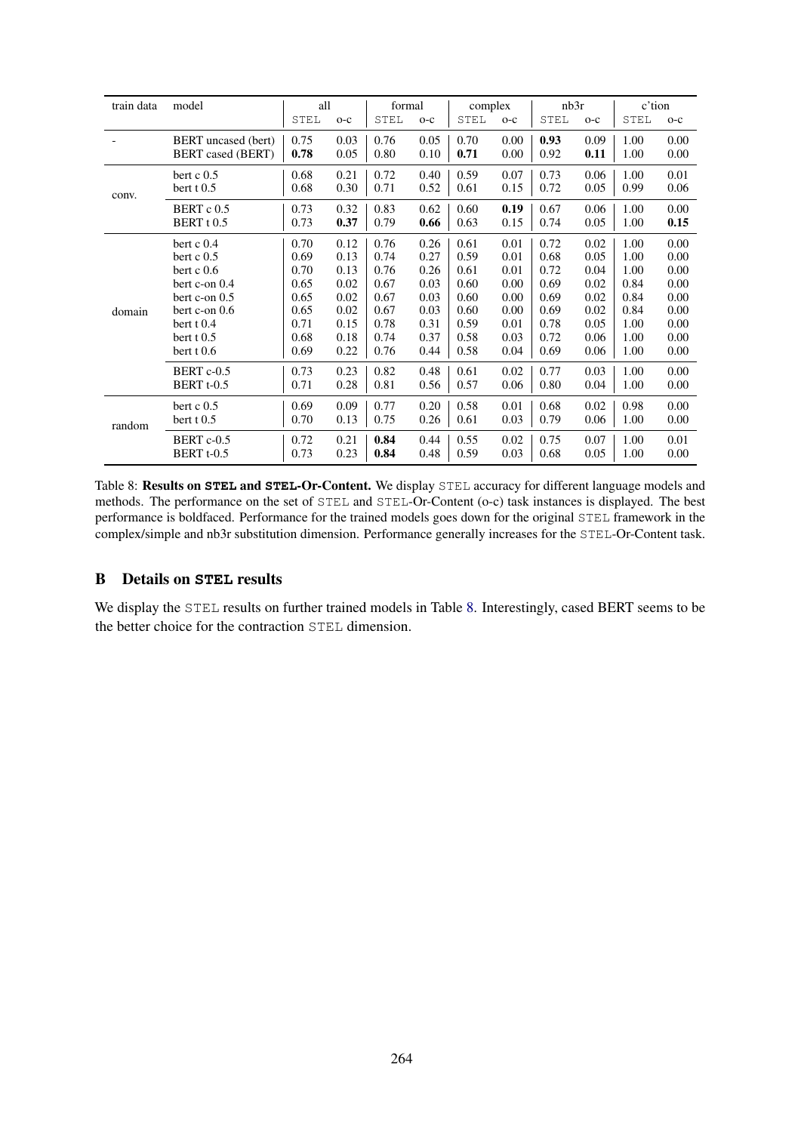<span id="page-15-0"></span>

| train data | model                      | all  |       | formal      |       | complex     |       | nb3r |       | c'tion      |       |
|------------|----------------------------|------|-------|-------------|-------|-------------|-------|------|-------|-------------|-------|
|            |                            | STEL | $O-C$ | <b>STEL</b> | $O-C$ | <b>STEL</b> | $O-C$ | STEL | $O-C$ | <b>STEL</b> | $O-C$ |
|            | <b>BERT</b> uncased (bert) | 0.75 | 0.03  | 0.76        | 0.05  | 0.70        | 0.00  | 0.93 | 0.09  | 1.00        | 0.00  |
|            | <b>BERT</b> cased (BERT)   | 0.78 | 0.05  | 0.80        | 0.10  | 0.71        | 0.00  | 0.92 | 0.11  | 1.00        | 0.00  |
| conv.      | bert $c$ 0.5               | 0.68 | 0.21  | 0.72        | 0.40  | 0.59        | 0.07  | 0.73 | 0.06  | 1.00        | 0.01  |
|            | bert $t$ 0.5               | 0.68 | 0.30  | 0.71        | 0.52  | 0.61        | 0.15  | 0.72 | 0.05  | 0.99        | 0.06  |
|            | BERT c 0.5                 | 0.73 | 0.32  | 0.83        | 0.62  | 0.60        | 0.19  | 0.67 | 0.06  | 1.00        | 0.00  |
|            | BERT <sub>t</sub> 0.5      | 0.73 | 0.37  | 0.79        | 0.66  | 0.63        | 0.15  | 0.74 | 0.05  | 1.00        | 0.15  |
| domain     | bert $c$ 0.4               | 0.70 | 0.12  | 0.76        | 0.26  | 0.61        | 0.01  | 0.72 | 0.02  | 1.00        | 0.00  |
|            | bert $c$ 0.5               | 0.69 | 0.13  | 0.74        | 0.27  | 0.59        | 0.01  | 0.68 | 0.05  | 1.00        | 0.00  |
|            | bert $c$ 0.6               | 0.70 | 0.13  | 0.76        | 0.26  | 0.61        | 0.01  | 0.72 | 0.04  | 1.00        | 0.00  |
|            | bert $c$ -on $0.4$         | 0.65 | 0.02  | 0.67        | 0.03  | 0.60        | 0.00  | 0.69 | 0.02  | 0.84        | 0.00  |
|            | bert $c$ -on $0.5$         | 0.65 | 0.02  | 0.67        | 0.03  | 0.60        | 0.00  | 0.69 | 0.02  | 0.84        | 0.00  |
|            | bert c-on 0.6              | 0.65 | 0.02  | 0.67        | 0.03  | 0.60        | 0.00  | 0.69 | 0.02  | 0.84        | 0.00  |
|            | bert t 0.4                 | 0.71 | 0.15  | 0.78        | 0.31  | 0.59        | 0.01  | 0.78 | 0.05  | 1.00        | 0.00  |
|            | bert $t\,0.5$              | 0.68 | 0.18  | 0.74        | 0.37  | 0.58        | 0.03  | 0.72 | 0.06  | 1.00        | 0.00  |
|            | bert $t\,0.6$              | 0.69 | 0.22  | 0.76        | 0.44  | 0.58        | 0.04  | 0.69 | 0.06  | 1.00        | 0.00  |
|            | BERT c-0.5                 | 0.73 | 0.23  | 0.82        | 0.48  | 0.61        | 0.02  | 0.77 | 0.03  | 1.00        | 0.00  |
|            | BERT <sub>t-0.5</sub>      | 0.71 | 0.28  | 0.81        | 0.56  | 0.57        | 0.06  | 0.80 | 0.04  | 1.00        | 0.00  |
| random     | bert $c$ 0.5               | 0.69 | 0.09  | 0.77        | 0.20  | 0.58        | 0.01  | 0.68 | 0.02  | 0.98        | 0.00  |
|            | bert $t$ 0.5               | 0.70 | 0.13  | 0.75        | 0.26  | 0.61        | 0.03  | 0.79 | 0.06  | 1.00        | 0.00  |
|            | BERT c-0.5                 | 0.72 | 0.21  | 0.84        | 0.44  | 0.55        | 0.02  | 0.75 | 0.07  | 1.00        | 0.01  |
|            | BERT <sub>t-0.5</sub>      | 0.73 | 0.23  | 0.84        | 0.48  | 0.59        | 0.03  | 0.68 | 0.05  | 1.00        | 0.00  |

Table 8: Results on **STEL** and **STEL**-Or-Content. We display STEL accuracy for different language models and methods. The performance on the set of STEL and STEL-Or-Content (o-c) task instances is displayed. The best performance is boldfaced. Performance for the trained models goes down for the original STEL framework in the complex/simple and nb3r substitution dimension. Performance generally increases for the STEL-Or-Content task.

# B Details on **STEL** results

We display the STEL results on further trained models in Table [8.](#page-15-0) Interestingly, cased BERT seems to be the better choice for the contraction STEL dimension.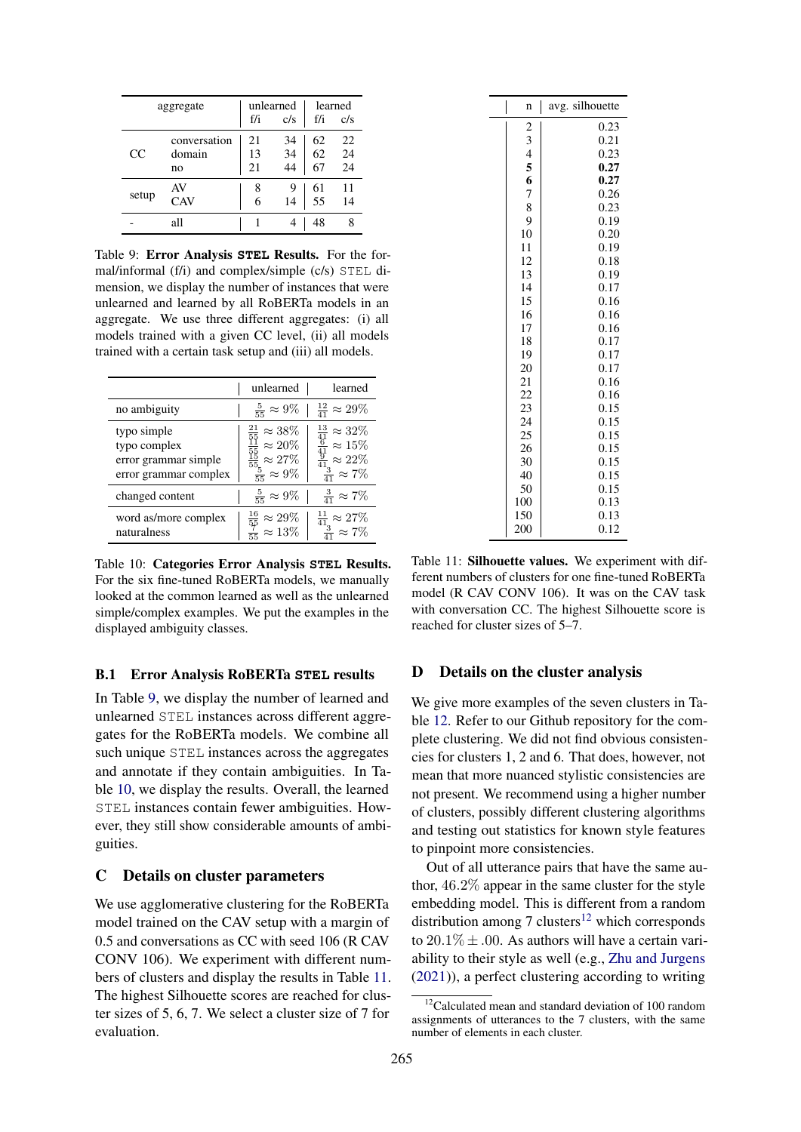<span id="page-16-3"></span>

|       |              |     | unlearned      | learned |                 |  |
|-------|--------------|-----|----------------|---------|-----------------|--|
|       | aggregate    |     |                |         |                 |  |
|       |              | f/i | c/s            | f/i     | c/s             |  |
|       | conversation | 21  |                | 62      | 22              |  |
| CC    | domain       | 13  | 34<br>34       | 62      | $\frac{24}{24}$ |  |
|       | no           | 21  | $\frac{1}{44}$ | 67      |                 |  |
|       | AV           | 8   | 9              | 61      | 11              |  |
| setup | CAV          | 6   | 14             | 55      | 14              |  |
|       | all          |     |                | 48      |                 |  |

Table 9: Error Analysis **STEL** Results. For the formal/informal (f/i) and complex/simple (c/s) STEL dimension, we display the number of instances that were unlearned and learned by all RoBERTa models in an aggregate. We use three different aggregates: (i) all models trained with a given CC level, (ii) all models trained with a certain task setup and (iii) all models.

<span id="page-16-4"></span>

|                                                                              | unlearned                                                                                                                           | learned                                                                                                                         |
|------------------------------------------------------------------------------|-------------------------------------------------------------------------------------------------------------------------------------|---------------------------------------------------------------------------------------------------------------------------------|
| no ambiguity                                                                 | $\frac{5}{55} \approx 9\%$                                                                                                          | $rac{12}{41} \approx 29\%$                                                                                                      |
| typo simple<br>typo complex<br>error grammar simple<br>error grammar complex | $\frac{\frac{21}{55}}{\frac{55}{55}} \approx 38\%$ $\frac{\frac{15}{55}}{\frac{15}{55}} \approx 27\%$<br>$\frac{5}{55} \approx 9\%$ | $\frac{\frac{13}{41}}{\frac{6}{41}} \approx 32\%$ $\frac{\frac{1}{9}}{\frac{3}{41}} \approx 22\%$<br>$\frac{3}{41} \approx 7\%$ |
| changed content                                                              | $\frac{5}{55} \approx 9\%$                                                                                                          | $\frac{3}{41} \approx 7\%$                                                                                                      |
| word as/more complex<br>naturalness                                          | $\frac{16}{55} \approx 29\%$ $\frac{7}{15} \approx 13\%$                                                                            | $\frac{11}{41} \approx 27\%$ $\frac{3}{41} \approx 7\%$                                                                         |

Table 10: Categories Error Analysis **STEL** Results. For the six fine-tuned RoBERTa models, we manually looked at the common learned as well as the unlearned simple/complex examples. We put the examples in the displayed ambiguity classes.

#### <span id="page-16-0"></span>B.1 Error Analysis RoBERTa **STEL** results

In Table [9,](#page-16-3) we display the number of learned and unlearned STEL instances across different aggregates for the RoBERTa models. We combine all such unique STEL instances across the aggregates and annotate if they contain ambiguities. In Table [10,](#page-16-4) we display the results. Overall, the learned STEL instances contain fewer ambiguities. However, they still show considerable amounts of ambiguities.

#### <span id="page-16-1"></span>C Details on cluster parameters

We use agglomerative clustering for the RoBERTa model trained on the CAV setup with a margin of 0.5 and conversations as CC with seed 106 (R CAV CONV 106). We experiment with different numbers of clusters and display the results in Table [11.](#page-16-5) The highest Silhouette scores are reached for cluster sizes of 5, 6, 7. We select a cluster size of 7 for evaluation.

<span id="page-16-5"></span>

| I<br>n                  | avg. silhouette |
|-------------------------|-----------------|
| $\overline{\mathbf{c}}$ | 0.23            |
|                         | 0.21            |
| $\frac{3}{4}$           | 0.23            |
| 5                       | 0.27            |
| 6                       | 0.27            |
| 7                       | 0.26            |
| 8                       | 0.23            |
| 9                       | 0.19            |
| 10                      | 0.20            |
| 11                      | 0.19            |
| 12                      | 0.18            |
| 13                      | 0.19            |
| 14                      | 0.17            |
| 15                      | 0.16            |
| 16                      | 0.16            |
| 17                      | 0.16            |
| 18                      | 0.17            |
| 19                      | 0.17            |
| 20                      | 0.17            |
| 21                      | 0.16            |
| 22                      | 0.16            |
| 23                      | 0.15            |
| 24                      | 0.15            |
| 25                      | 0.15            |
| 26                      | 0.15            |
| 30                      | 0.15            |
| 40                      | 0.15            |
| 50                      | 0.15<br>0.13    |
| 100                     |                 |
| 150<br>200              | 0.13<br>0.12    |
|                         |                 |

Table 11: Silhouette values. We experiment with different numbers of clusters for one fine-tuned RoBERTa model (R CAV CONV 106). It was on the CAV task with conversation CC. The highest Silhouette score is reached for cluster sizes of 5–7.

# <span id="page-16-2"></span>D Details on the cluster analysis

We give more examples of the seven clusters in Table [12.](#page-18-0) Refer to our Github repository for the complete clustering. We did not find obvious consistencies for clusters 1, 2 and 6. That does, however, not mean that more nuanced stylistic consistencies are not present. We recommend using a higher number of clusters, possibly different clustering algorithms and testing out statistics for known style features to pinpoint more consistencies.

Out of all utterance pairs that have the same author, 46.2% appear in the same cluster for the style embedding model. This is different from a random distribution among 7 clusters<sup>[12](#page-16-6)</sup> which corresponds to  $20.1\% \pm .00$ . As authors will have a certain variability to their style as well (e.g., [Zhu and Jurgens](#page-12-0) [\(2021\)](#page-12-0)), a perfect clustering according to writing

<span id="page-16-6"></span><sup>&</sup>lt;sup>12</sup>Calculated mean and standard deviation of 100 random assignments of utterances to the 7 clusters, with the same number of elements in each cluster.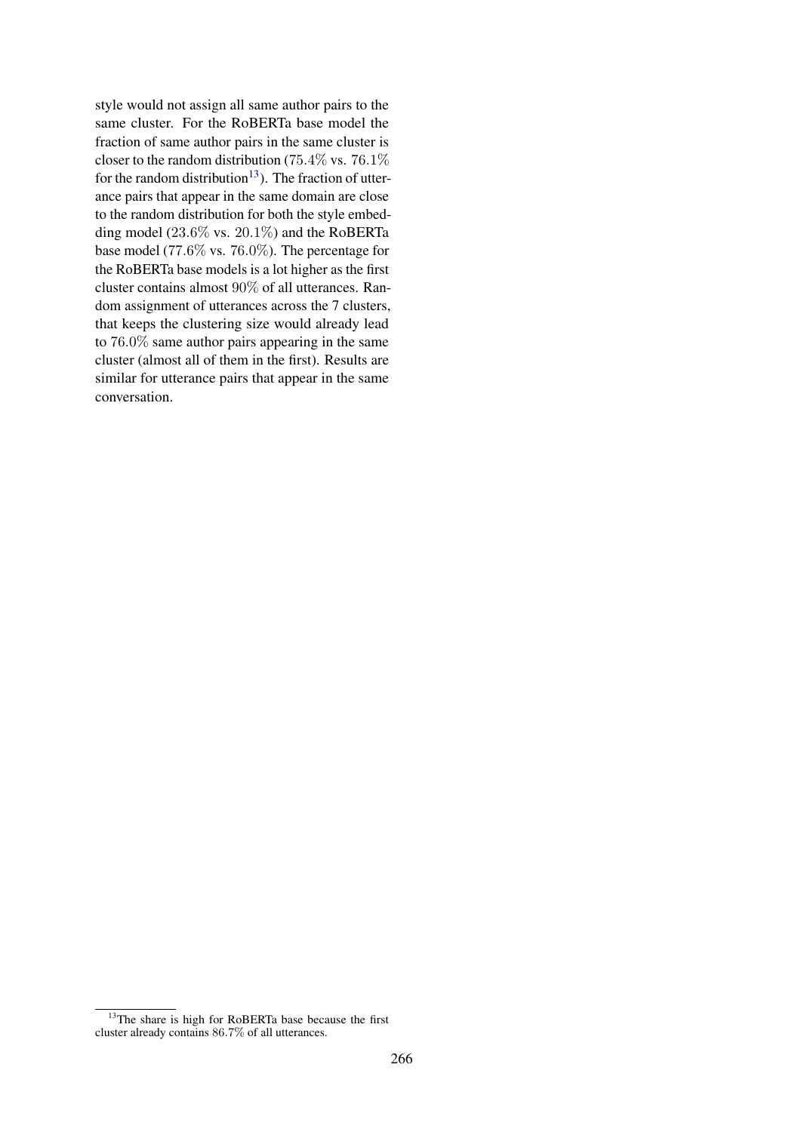style would not assign all same author pairs to the same cluster. For the RoBERTa base model the fraction of same author pairs in the same cluster is closer to the random distribution (75.4% vs. 76.1%) for the random distribution<sup>[13](#page-17-0)</sup>). The fraction of utterance pairs that appear in the same domain are close to the random distribution for both the style embedding model (23.6% vs. 20.1%) and the RoBERTa base model (77.6% vs. 76.0%). The percentage for the RoBERTa base models is a lot higher as the first cluster contains almost 90% of all utterances. Random assignment of utterances across the 7 clusters, that keeps the clustering size would already lead to 76.0% same author pairs appearing in the same cluster (almost all of them in the first). Results are similar for utterance pairs that appear in the same conversation.

<span id="page-17-0"></span><sup>&</sup>lt;sup>13</sup>The share is high for RoBERTa base because the first cluster already contains 86.7% of all utterances.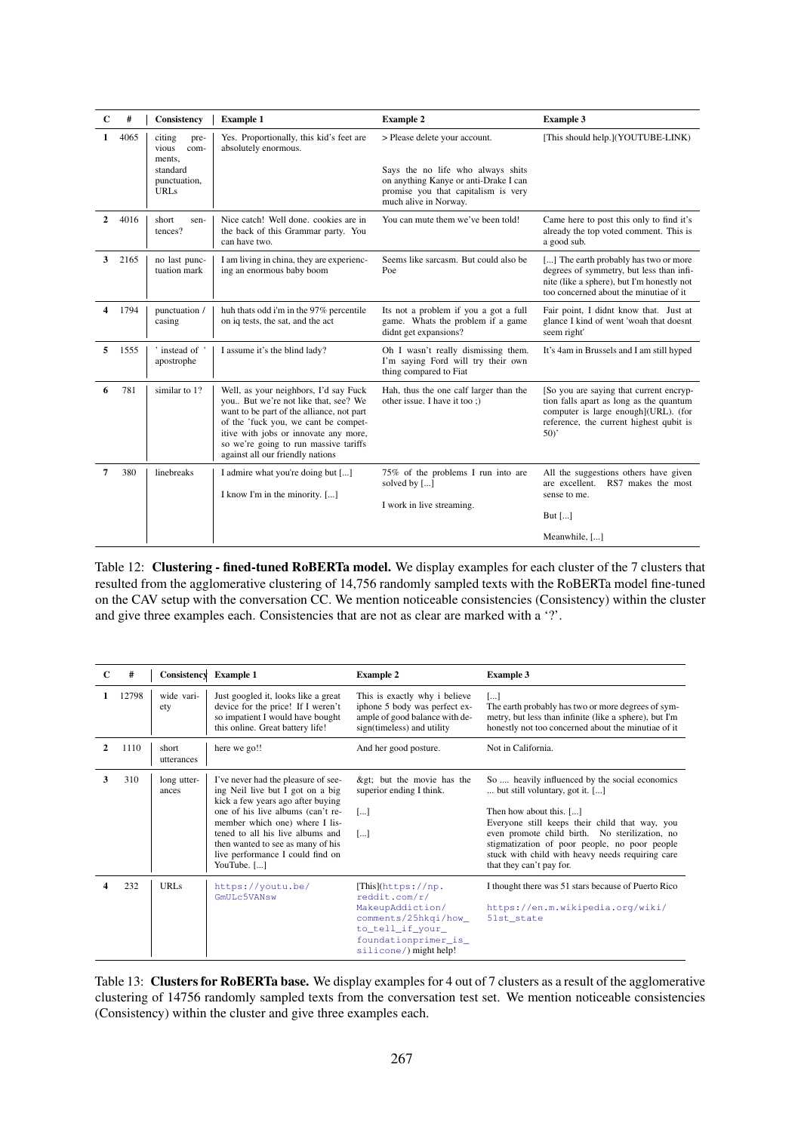<span id="page-18-0"></span>

| $\mathbf C$ | #                                       | Consistency                               | <b>Example 1</b>                                                                                                                                                                                                                                                                         | <b>Example 2</b>                                                                                                                           | <b>Example 3</b>                                                                                                                                                            |
|-------------|-----------------------------------------|-------------------------------------------|------------------------------------------------------------------------------------------------------------------------------------------------------------------------------------------------------------------------------------------------------------------------------------------|--------------------------------------------------------------------------------------------------------------------------------------------|-----------------------------------------------------------------------------------------------------------------------------------------------------------------------------|
| 1           | 4065                                    | citing<br>pre-<br>vious<br>com-<br>ments. | Yes. Proportionally, this kid's feet are<br>absolutely enormous.                                                                                                                                                                                                                         | > Please delete your account.                                                                                                              | [This should help.](YOUTUBE-LINK)                                                                                                                                           |
|             | standard<br>punctuation,<br><b>URLs</b> |                                           |                                                                                                                                                                                                                                                                                          | Says the no life who always shits<br>on anything Kanye or anti-Drake I can<br>promise you that capitalism is very<br>much alive in Norway. |                                                                                                                                                                             |
| 2           | 4016                                    | short<br>sen-<br>tences?                  | Nice catch! Well done, cookies are in<br>the back of this Grammar party. You<br>can have two.                                                                                                                                                                                            | You can mute them we've been told!                                                                                                         | Came here to post this only to find it's<br>already the top voted comment. This is<br>a good sub.                                                                           |
| 3           | 2165                                    | no last punc-<br>tuation mark             | I am living in china, they are experienc-<br>ing an enormous baby boom                                                                                                                                                                                                                   | Seems like sarcasm. But could also be<br>Poe                                                                                               | [] The earth probably has two or more<br>degrees of symmetry, but less than infi-<br>nite (like a sphere), but I'm honestly not<br>too concerned about the minutiae of it   |
| 4           | 1794                                    | punctuation /<br>casing                   | huh thats odd i'm in the 97% percentile<br>on iq tests, the sat, and the act                                                                                                                                                                                                             | Its not a problem if you a got a full<br>game. Whats the problem if a game<br>didnt get expansions?                                        | Fair point, I didnt know that. Just at<br>glance I kind of went 'woah that doesnt<br>seem right'                                                                            |
| 5           | 1555                                    | ' instead of '<br>apostrophe              | I assume it's the blind lady?                                                                                                                                                                                                                                                            | Oh I wasn't really dismissing them.<br>I'm saying Ford will try their own<br>thing compared to Fiat                                        | It's 4am in Brussels and I am still hyped                                                                                                                                   |
| 6           | 781                                     | similar to 1?                             | Well, as your neighbors, I'd say Fuck<br>you But we're not like that, see? We<br>want to be part of the alliance, not part<br>of the 'fuck you, we cant be compet-<br>itive with jobs or innovate any more,<br>so we're going to run massive tariffs<br>against all our friendly nations | Hah, thus the one calf larger than the<br>other issue. I have it too:)                                                                     | [So you are saying that current encryp-<br>tion falls apart as long as the quantum<br>computer is large enough](URL). (for<br>reference, the current highest qubit is<br>50 |
| 7           | 380<br>linebreaks                       |                                           | I admire what you're doing but []<br>I know I'm in the minority. []                                                                                                                                                                                                                      | 75% of the problems I run into are<br>solved by []<br>I work in live streaming.                                                            | All the suggestions others have given<br>are excellent. RS7 makes the most<br>sense to me.<br>But $[\dots]$<br>Meanwhile, []                                                |

Table 12: Clustering - fined-tuned RoBERTa model. We display examples for each cluster of the 7 clusters that resulted from the agglomerative clustering of 14,756 randomly sampled texts with the RoBERTa model fine-tuned on the CAV setup with the conversation CC. We mention noticeable consistencies (Consistency) within the cluster and give three examples each. Consistencies that are not as clear are marked with a '?'.

| C              | #     | Consistency          | <b>Example 1</b>                                                                                                                                                                                                                                                                                                | <b>Example 2</b>                                                                                                                                      | <b>Example 3</b>                                                                                                                                                                                                                                                                                                                                  |
|----------------|-------|----------------------|-----------------------------------------------------------------------------------------------------------------------------------------------------------------------------------------------------------------------------------------------------------------------------------------------------------------|-------------------------------------------------------------------------------------------------------------------------------------------------------|---------------------------------------------------------------------------------------------------------------------------------------------------------------------------------------------------------------------------------------------------------------------------------------------------------------------------------------------------|
|                | 12798 | wide vari-<br>ety    | Just googled it, looks like a great<br>device for the price! If I weren't<br>so impatient I would have bought<br>this online. Great battery life!                                                                                                                                                               | This is exactly why i believe<br>iphone 5 body was perfect ex-<br>ample of good balance with de-<br>sign(timeless) and utility                        | $[\dots]$<br>The earth probably has two or more degrees of sym-<br>metry, but less than infinite (like a sphere), but I'm<br>honestly not too concerned about the minutiae of it                                                                                                                                                                  |
| $\mathfrak{D}$ | 1110  | short<br>utterances  | here we go!!                                                                                                                                                                                                                                                                                                    | And her good posture.                                                                                                                                 | Not in California.                                                                                                                                                                                                                                                                                                                                |
| 3              | 310   | long utter-<br>ances | I've never had the pleasure of see-<br>ing Neil live but I got on a big<br>kick a few years ago after buying<br>one of his live albums (can't re-<br>member which one) where I lis-<br>tened to all his live albums and<br>then wanted to see as many of his<br>live performance I could find on<br>YouTube. [] | > but the movie has the<br>superior ending I think.<br>$\left[\ldots\right]$<br>$\left[\ldots\right]$                                                 | So  heavily influenced by the social economics<br>but still voluntary, got it. []<br>Then how about this. []<br>Everyone still keeps their child that way, you<br>even promote child birth. No sterilization, no<br>stigmatization of poor people, no poor people<br>stuck with child with heavy needs requiring care<br>that they can't pay for. |
|                | 232   | URL <sub>s</sub>     | https://youtu.be/<br>GmULc5VANsw                                                                                                                                                                                                                                                                                | [This](https://np.<br>reddit.com/r/<br>MakeupAddiction/<br>comments/25hkqi/how_<br>to_tell_if_your_<br>foundationprimer_is_<br>silicone/) might help! | I thought there was 51 stars because of Puerto Rico<br>https://en.m.wikipedia.org/wiki/<br>51st state                                                                                                                                                                                                                                             |

Table 13: Clusters for RoBERTa base. We display examples for 4 out of 7 clusters as a result of the agglomerative clustering of 14756 randomly sampled texts from the conversation test set. We mention noticeable consistencies (Consistency) within the cluster and give three examples each.